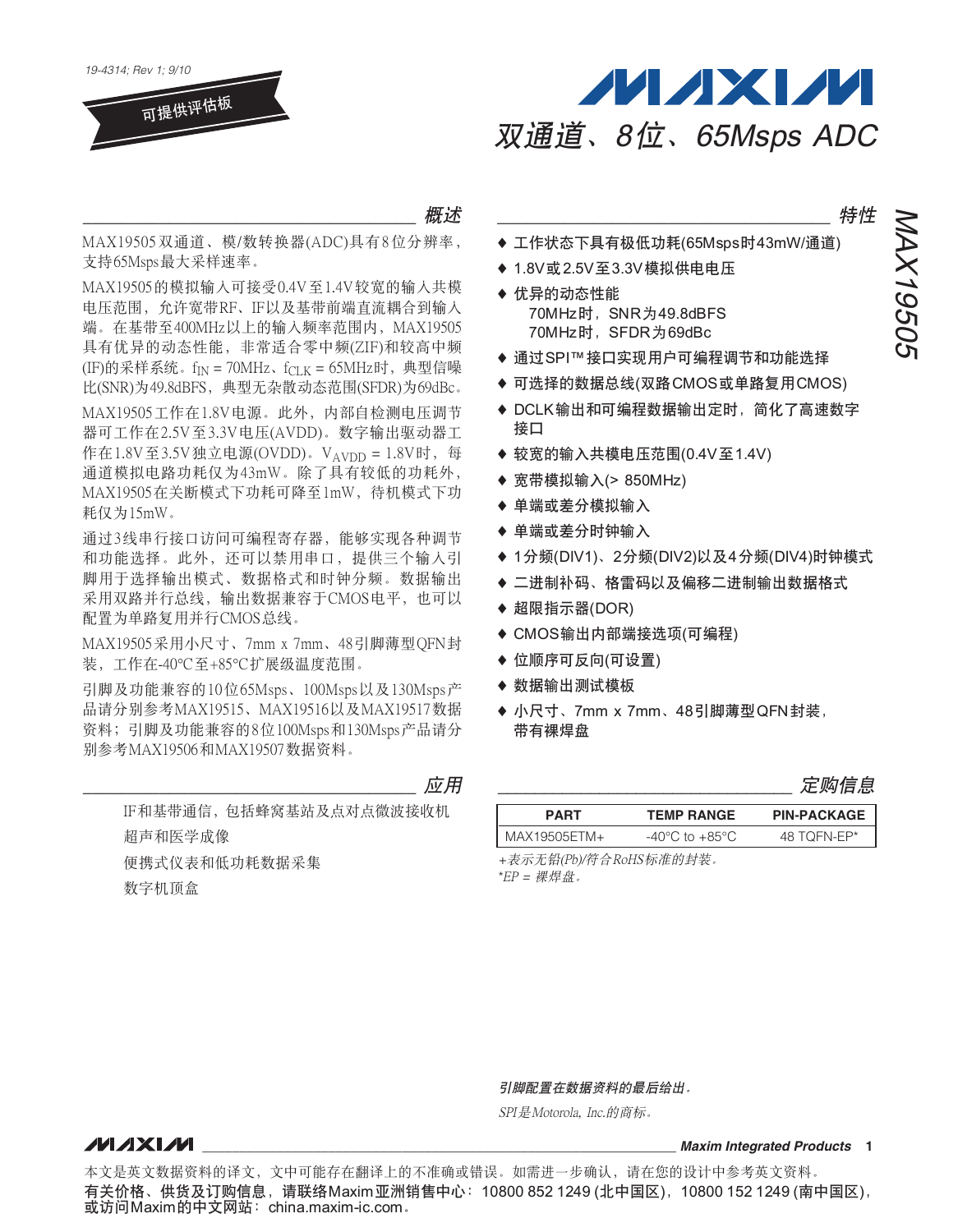



### ``````````````````````````````````` গၤ

MAX19505 双通道、模/数转换器(ADC)具有8位分辨率, 支持65Msps最大采样速率。

MAX19505的模拟输入可接受0.4V至1.4V较宽的输入共模 电压范围, 允许宽带RF、IF以及基带前端直流耦合到输入 端。在基带至400MHz以上的输入频率范围内, MAX19505 具有优异的动态性能, 非常适合零中频(ZIF)和较高中频 (IF)的采样系统。 $f_{\text{IN}} = 70$ MHz、 $f_{\text{CLK}} = 65$ MHz时,典型信噪 比(SNR)为49.8dBFS, 典型无杂散动态范围(SFDR)为69dBc。

MAX19505工作在1.8V电源。此外, 内部自检测电压调节 器可工作在2.5V至3.3V电压(AVDD)。数字输出驱动器工 作在1.8V至3.5V独立电源(OVDD)。VAVDD = 1.8V时, 每 通道模拟电路功耗仅为43mW。除了具有较低的功耗外, MAX19505在关断模式下功耗可降至1mW, 待机模式下功 耗仅为15mW。

通过3线串行接口访问可编程寄存器, 能够实现各种调节 和功能选择。此外,还可以禁用串口, 提供三个输入引 脚用于洗择输出模式、数据格式和时钟分频。数据输出 采用双路并行总线, 输出数据兼容于CMOS电平, 也可以 配置为单路复用并行CMOS总线。

MAX19505采用小尺寸、7mm x 7mm、48引脚薄型QFN封 装,工作在-40℃至+85℃扩展级温度范围。

引脚及功能兼容的10位65Msps、100Msps以及130Msps产 品请分别参考MAX19515、MAX19516以及MAX19517数据 资料;引脚及功能兼容的8位100Msps和130Msps产品请分 别参考MAX19506和MAX19507数据资料。

``````````````````````````````````` ።

IF和基带通信, 包括蜂窝基站及点对点微波接收机 超声和医学成像 便携式仪表和低功耗数据采集 数字机顶盒

### ``````````````````````````````````` ᄂቶ

NAX19505

MAX19505

- ◆ 工作状态下具有极低功耗(65Msps时43mW/通道)
- ◆ 1.8V或2.5V至3.3V模拟供电电压
- ◆ 优异的动态性能 70MHz时, SNR为49.8dBFS 70MHz时, SFDR为69dBc
- ◆ 通过SPI™接口实现用户可编程调节和功能选择
- ♦ 可选择的数据总线(双路CMOS或单路复用CMOS)
- ◆ DCLK输出和可编程数据输出定时,简化了高速数字 接口
- ♦ 较宽的输入共模电压范围(0.4V至1.4V)
- ◆ 宽带模拟输入(> 850MHz)
- ◆ 单端或差分模拟输入
- ◆ 单端或差分时钟输入
- ◆ 1分频(DIV1)、2分频(DIV2)以及4分频(DIV4)时钟模式
- ♦ 二进制补码、格雷码以及偏移二进制输出数据格式
- $\triangleq$ 超限指示器(DOR)
- ◆ CMOS输出内部端接选项(可编程)
- ◆ 位顺序可反向(可设置)
- ◆ 数据输出测试模板
- ◆ 小尺寸、7mm x 7mm、48引脚薄型QFN封装, 带有裸焊盘

|  | 疋购信息 |  |
|--|------|--|
|--|------|--|

| <b>PART</b>  | <b>TEMP RANGE</b>                  | <b>PIN-PACKAGE</b> |
|--------------|------------------------------------|--------------------|
| MAX19505ETM+ | $-40^{\circ}$ C to $+85^{\circ}$ C | 48 TOFN-FP*        |

+表示无铅(Pb)/符合RoHS标准的封装。  $E'PP = R#H#R$ 

引脚配置在数据资料的最后给出。

SPI 是Motorola, Inc.的商标。

#### **NAIXIVI**

**\_\_\_\_\_\_\_\_\_\_\_\_\_\_\_\_\_\_\_\_\_\_\_\_\_\_\_\_\_\_\_\_\_\_\_\_\_\_\_\_\_\_\_\_\_\_\_\_\_\_\_\_\_\_\_\_\_\_\_\_\_\_\_\_** *Maxim Integrated Products* **1**

本文是英文数据资料的译文,文中可能存在翻译上的不准确或错误。如需进一步确认,请在您的设计中参考英文资料。 有关价格、供货及订购信息,请联络Maxim亚洲销售中心:10800 852 1249 (北中国区),10800 152 1249 (南中国区), 或访问Maxim的中文网站: china.maxim-ic.com.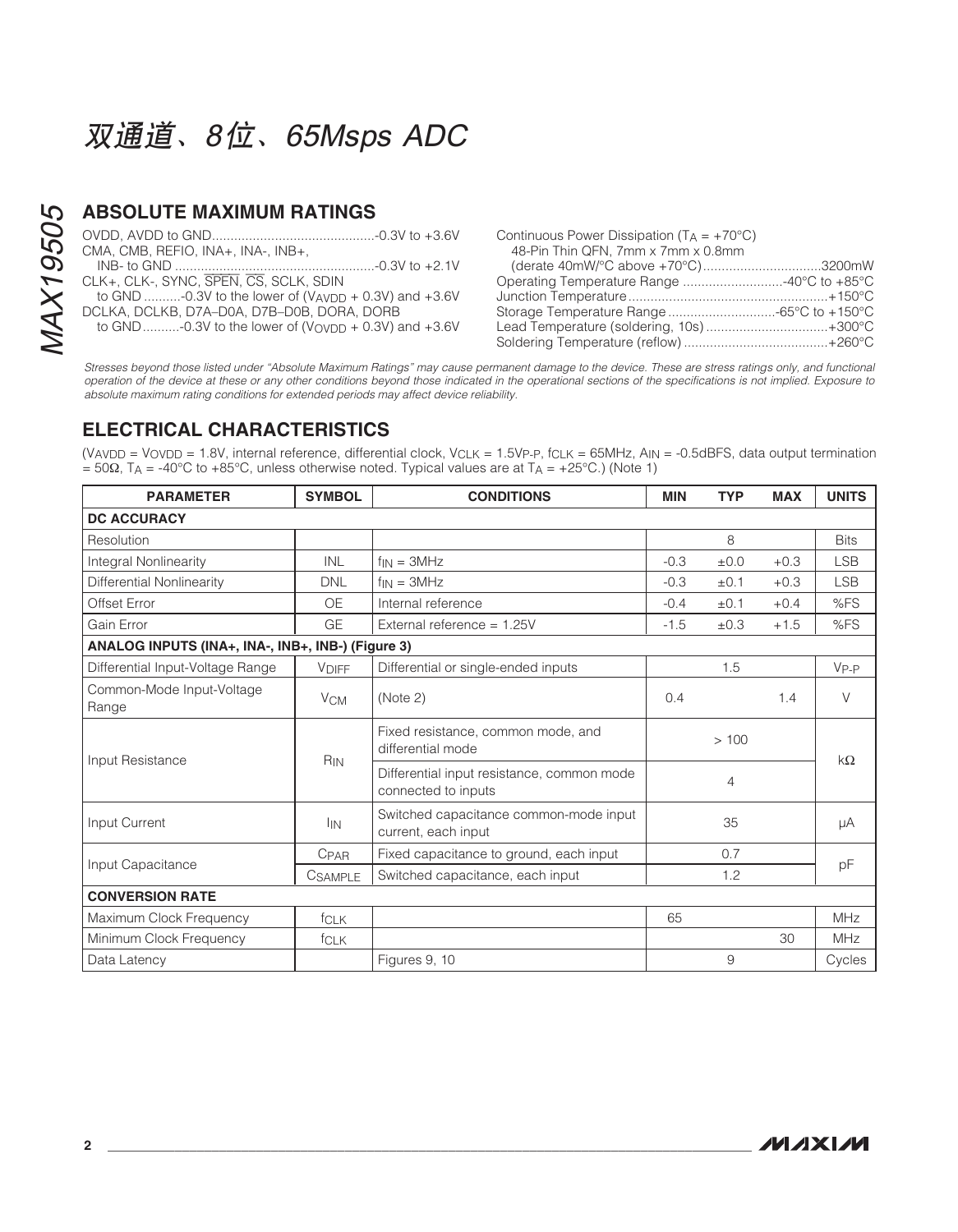### **ABSOLUTE MAXIMUM RATINGS**

| CMA, CMB, REFIO, INA+, INA-, INB+,                      |  |
|---------------------------------------------------------|--|
|                                                         |  |
| CLK+, CLK-, SYNC, SPEN, CS, SCLK, SDIN                  |  |
| to GND -0.3V to the lower of (VAVDD + 0.3V) and $+3.6V$ |  |
| DCLKA, DCLKB, D7A-D0A, D7B-D0B, DORA, DORB              |  |
| to GND-0.3V to the lower of (Vovpp + 0.3V) and $+3.6V$  |  |

| Continuous Power Dissipation ( $T_A = +70^{\circ}C$ )<br>48-Pin Thin QFN, 7mm x 7mm x 0.8mm |  |
|---------------------------------------------------------------------------------------------|--|
| (derate 40mW/°C above +70°C)3200mW                                                          |  |
| Operating Temperature Range 40°C to +85°C                                                   |  |
|                                                                                             |  |
|                                                                                             |  |
| Lead Temperature (soldering, 10s)+300°C                                                     |  |
|                                                                                             |  |

Stresses beyond those listed under "Absolute Maximum Ratings" may cause permanent damage to the device. These are stress ratings only, and functional operation of the device at these or any other conditions beyond those indicated in the operational sections of the specifications is not implied. Exposure to absolute maximum rating conditions for extended periods may affect device reliability.

### **ELECTRICAL CHARACTERISTICS**

(V<sub>AVDD</sub> = V<sub>OVDD</sub> = 1.8V, internal reference, differential clock, V<sub>CLK</sub> = 1.5Vp<sub>-</sub>p, f<sub>CLK</sub> = 65MHz, A<sub>IN</sub> = -0.5dBFS, data output termination = 50Ω, T<sub>A</sub> = -40°C to +85°C, unless otherwise noted. Typical values are at T<sub>A</sub> = +25°C.) (Note 1)

| <b>PARAMETER</b>                                  | <b>SYMBOL</b>         | <b>CONDITIONS</b>                                                 | <b>MIN</b> | <b>TYP</b> | <b>MAX</b> | <b>UNITS</b> |  |
|---------------------------------------------------|-----------------------|-------------------------------------------------------------------|------------|------------|------------|--------------|--|
| <b>DC ACCURACY</b>                                |                       |                                                                   |            |            |            |              |  |
| Resolution                                        |                       |                                                                   |            | 8          |            | <b>Bits</b>  |  |
| Integral Nonlinearity                             | <b>INL</b>            | $f_{IN} = 3MHz$                                                   | $-0.3$     | ±0.0       | $+0.3$     | <b>LSB</b>   |  |
| Differential Nonlinearity                         | <b>DNL</b>            | $f_{IN} = 3MHz$                                                   | $-0.3$     | ±0.1       | $+0.3$     | <b>LSB</b>   |  |
| Offset Error                                      | 0E                    | Internal reference                                                | $-0.4$     | $\pm 0.1$  | $+0.4$     | %FS          |  |
| Gain Error                                        | GE                    | External reference = 1.25V                                        | $-1.5$     | $\pm 0.3$  | $+1.5$     | %FS          |  |
| ANALOG INPUTS (INA+, INA-, INB+, INB-) (Figure 3) |                       |                                                                   |            |            |            |              |  |
| Differential Input-Voltage Range                  | <b>VDIFF</b>          | Differential or single-ended inputs                               |            | 1.5        |            | $V_{P-P}$    |  |
| Common-Mode Input-Voltage<br>Range                | <b>V<sub>CM</sub></b> | (Note 2)                                                          | 0.4        |            | 1.4        | $\vee$       |  |
|                                                   |                       | Fixed resistance, common mode, and<br>differential mode           |            | >100       |            | $k\Omega$    |  |
| Input Resistance                                  | R <sub>IN</sub>       | Differential input resistance, common mode<br>connected to inputs |            | 4          |            |              |  |
| Input Current                                     | <b>I</b> IN           | Switched capacitance common-mode input<br>current, each input     |            | 35         |            | μA           |  |
| Input Capacitance                                 | CPAR                  | Fixed capacitance to ground, each input                           |            | 0.7        |            |              |  |
|                                                   | <b>CSAMPLE</b>        | Switched capacitance, each input                                  |            | 1.2        |            | pF           |  |
| <b>CONVERSION RATE</b>                            |                       |                                                                   |            |            |            |              |  |
| Maximum Clock Frequency                           | <b>f</b> CLK          |                                                                   | 65         |            |            | <b>MHz</b>   |  |
| Minimum Clock Frequency                           | fCLK                  |                                                                   |            |            | 30         | <b>MHz</b>   |  |
| Data Latency                                      |                       | Figures 9, 10                                                     |            | 9          |            | Cycles       |  |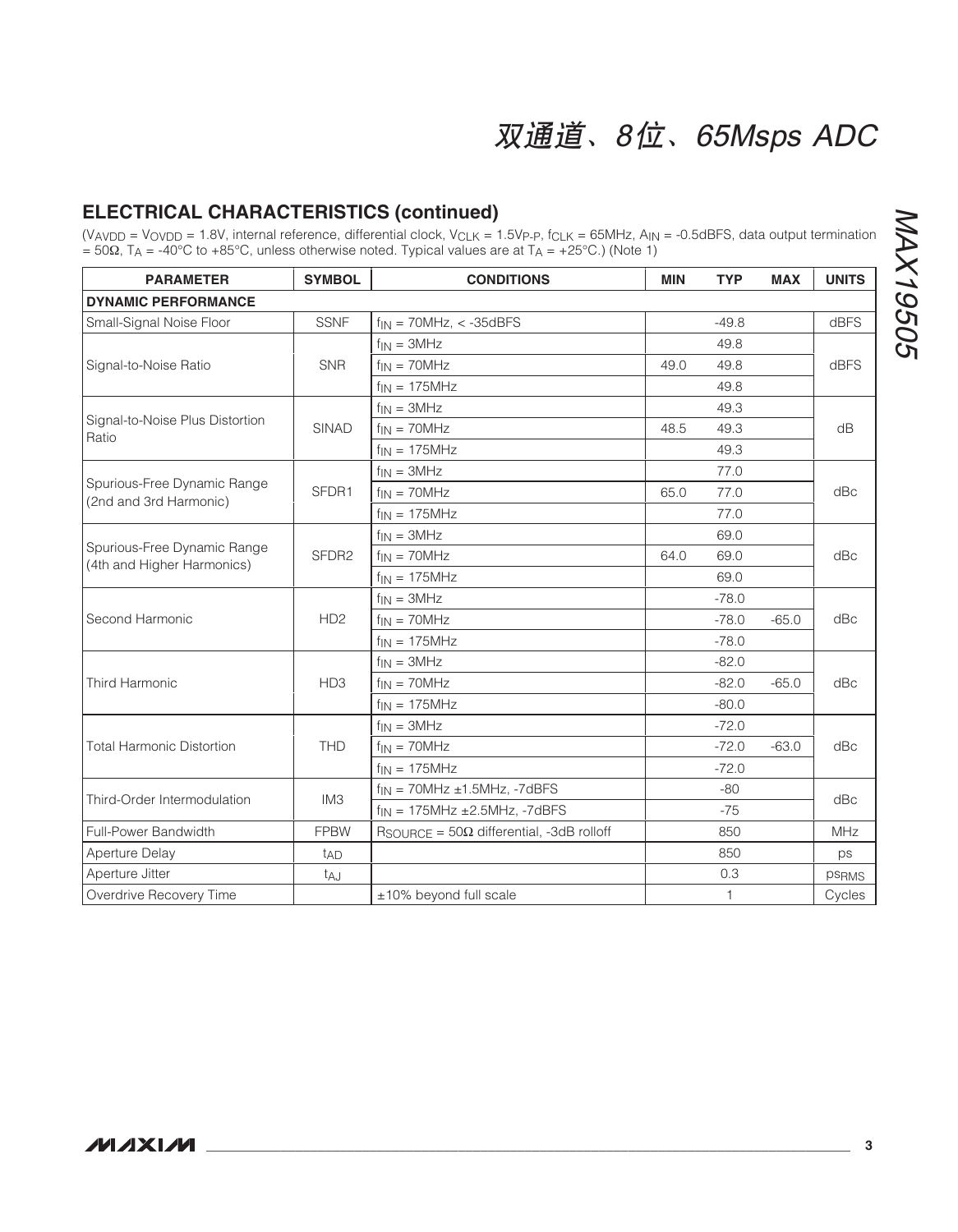### **ELECTRICAL CHARACTERISTICS (continued)**

 $(V_{AVDD} = V_{OVDD} = 1.8V$ , internal reference, differential clock,  $V_{CLK} = 1.5V_{P\text{-}P}$ ,  $f_{CLK} = 65MHz$ ,  $A_{IN} = -0.5dBFS$ , data output termination  $= 50Ω$ , TA = -40°C to +85°C, unless otherwise noted. Typical values are at TA = +25°C.) (Note 1)

| <b>PARAMETER</b>                                          | <b>SYMBOL</b>     | <b>CONDITIONS</b>                                         | <b>MIN</b> | <b>TYP</b>   | <b>MAX</b> | <b>UNITS</b> |
|-----------------------------------------------------------|-------------------|-----------------------------------------------------------|------------|--------------|------------|--------------|
| <b>DYNAMIC PERFORMANCE</b>                                |                   |                                                           |            |              |            |              |
| Small-Signal Noise Floor                                  | <b>SSNF</b>       | $f_{IN}$ = 70MHz, < -35dBFS                               |            | $-49.8$      |            | dBFS         |
|                                                           |                   | $f_{IN} = 3MHz$                                           |            | 49.8         |            |              |
| Signal-to-Noise Ratio                                     | <b>SNR</b>        | $f_{IN} = 70MHz$                                          | 49.0       | 49.8         |            | dBFS         |
|                                                           |                   | $f_{IN} = 175MHz$                                         |            | 49.8         |            |              |
|                                                           |                   | $f_{IN} = 3MHz$                                           |            | 49.3         |            |              |
| Signal-to-Noise Plus Distortion<br>Ratio                  | <b>SINAD</b>      | $f_{IN} = 70MHz$                                          | 48.5       | 49.3         |            | dB           |
|                                                           |                   | $f_{IN} = 175MHz$                                         |            | 49.3         |            |              |
|                                                           |                   | $f_{IN} = 3MHz$                                           |            | 77.0         |            |              |
| Spurious-Free Dynamic Range<br>(2nd and 3rd Harmonic)     | SFDR1             | $f_{IN} = 70MHz$                                          | 65.0       | 77.0         |            | dBc          |
|                                                           |                   | $f_{IN} = 175MHz$                                         |            | 77.0         |            |              |
|                                                           |                   | $f_{IN} = 3MHz$                                           |            | 69.0         |            |              |
| Spurious-Free Dynamic Range<br>(4th and Higher Harmonics) | SFDR <sub>2</sub> | $f_{IN} = 70MHz$                                          | 64.0       | 69.0         |            | dBc          |
|                                                           |                   | $f_{IN}$ = 175MHz                                         |            | 69.0         |            |              |
|                                                           |                   | $f_{IN} = 3MHz$                                           |            | $-78.0$      |            | dBc          |
| Second Harmonic                                           | H <sub>D2</sub>   | $f_{IN} = 70MHz$                                          |            | $-78.0$      | $-65.0$    |              |
|                                                           |                   | $f_{IN} = 175MHz$                                         |            | $-78.0$      |            |              |
|                                                           |                   | $f_{IN} = 3MHz$                                           |            | $-82.0$      |            |              |
| <b>Third Harmonic</b>                                     | HD <sub>3</sub>   | $f_{IN} = 70MHz$                                          |            | $-82.0$      | $-65.0$    | dBc          |
|                                                           |                   | $f_{IN} = 175MHz$                                         |            | $-80.0$      |            |              |
|                                                           |                   | $f_{IN} = 3MHz$                                           |            | $-72.0$      |            | dBc          |
| <b>Total Harmonic Distortion</b>                          | <b>THD</b>        | $f_{IN} = 70MHz$                                          |            | $-72.0$      | $-63.0$    |              |
|                                                           |                   | $f_{IN} = 175MHz$                                         |            | $-72.0$      |            |              |
|                                                           | IM <sub>3</sub>   | $f_{IN}$ = 70MHz $\pm$ 1.5MHz, -7dBFS                     |            | $-80$        |            | dBc          |
| Third-Order Intermodulation                               |                   | $f_{IN}$ = 175MHz $\pm$ 2.5MHz, -7dBFS                    |            | $-75$        |            |              |
| <b>Full-Power Bandwidth</b>                               | <b>FPBW</b>       | $R_{\text{SOURCE}} = 50\Omega$ differential, -3dB rolloff |            | 850          |            | MHz          |
| Aperture Delay                                            | t <sub>AD</sub>   |                                                           |            | 850          |            | ps           |
| Aperture Jitter                                           | t <sub>A</sub> J  |                                                           |            | 0.3          |            | psRMS        |
| Overdrive Recovery Time                                   |                   | ±10% beyond full scale                                    |            | $\mathbf{1}$ |            | Cycles       |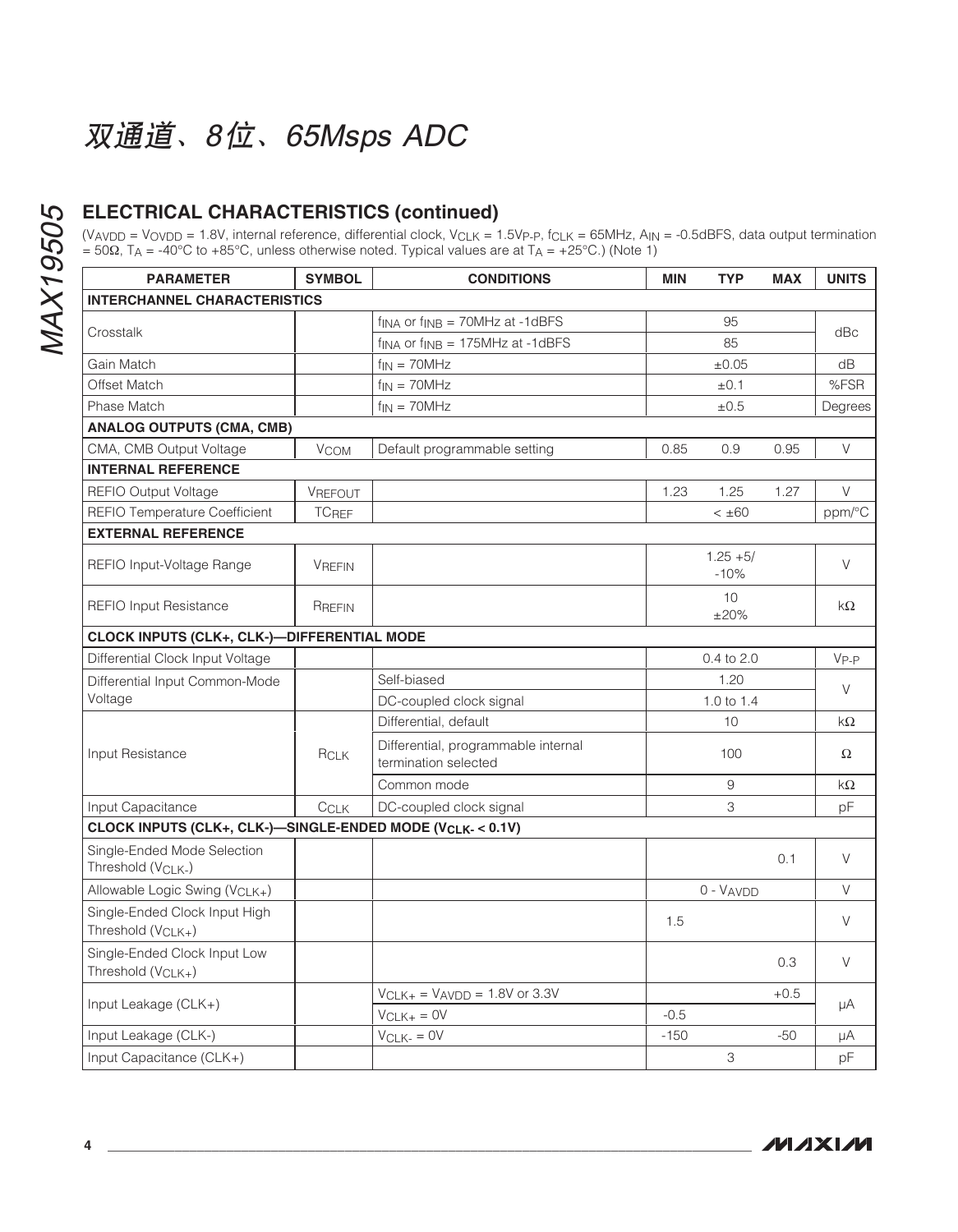### **ELECTRICAL CHARACTERISTICS (continued)**

(V<sub>AVDD</sub> = V<sub>OVDD</sub> = 1.8V, internal reference, differential clock, V<sub>CLK</sub> = 1.5Vp<sub>-P</sub>, f<sub>CLK</sub> = 65MHz, A<sub>IN</sub> = -0.5dBFS, data output termination = 50Ω, T<sub>A</sub> = -40°C to +85°C, unless otherwise noted. Typical values are at T<sub>A</sub> = +25°C.) (Note 1)

| <b>PARAMETER</b>                                                | <b>SYMBOL</b>          | <b>CONDITIONS</b>                                               | <b>MIN</b> | <b>TYP</b>            | <b>MAX</b> | <b>UNITS</b> |
|-----------------------------------------------------------------|------------------------|-----------------------------------------------------------------|------------|-----------------------|------------|--------------|
| <b>INTERCHANNEL CHARACTERISTICS</b>                             |                        |                                                                 |            |                       |            |              |
|                                                                 |                        | $f_{\text{INA}}$ or $f_{\text{INB}} = 70$ MHz at -1dBFS         |            | 95                    |            |              |
| Crosstalk                                                       |                        | $f_{\text{INA}}$ or $f_{\text{INB}} = 175 \text{MHz}$ at -1dBFS |            | 85                    |            | dBc          |
| Gain Match                                                      |                        | $f_{IN} = 70MHz$                                                |            | $\pm 0.05$            |            | dB           |
| Offset Match                                                    |                        | $f_{IN} = 70MHz$                                                |            | ±0.1                  |            | %FSR         |
| Phase Match                                                     |                        | $f_{IN} = 70MHz$                                                |            | ±0.5                  |            | Degrees      |
| <b>ANALOG OUTPUTS (CMA, CMB)</b>                                |                        |                                                                 |            |                       |            |              |
| CMA, CMB Output Voltage                                         | <b>V<sub>COM</sub></b> | Default programmable setting                                    | 0.85       | 0.9                   | 0.95       | V            |
| <b>INTERNAL REFERENCE</b>                                       |                        |                                                                 |            |                       |            |              |
| <b>REFIO Output Voltage</b>                                     | VREFOUT                |                                                                 | 1.23       | 1.25                  | 1.27       | V            |
| <b>REFIO Temperature Coefficient</b>                            | <b>TCREF</b>           |                                                                 |            | $< \pm 60$            |            | ppm/°C       |
| <b>EXTERNAL REFERENCE</b>                                       |                        |                                                                 |            |                       |            |              |
| REFIO Input-Voltage Range                                       | <b>VREFIN</b>          |                                                                 |            | $1.25 + 5/$<br>$-10%$ |            | V            |
| <b>REFIO Input Resistance</b>                                   | RREFIN                 |                                                                 |            | 10<br>±20%            |            | $k\Omega$    |
| CLOCK INPUTS (CLK+, CLK-)-DIFFERENTIAL MODE                     |                        |                                                                 |            |                       |            |              |
| Differential Clock Input Voltage                                |                        |                                                                 |            | 0.4 to 2.0            |            | $V_{P-P}$    |
| Differential Input Common-Mode                                  |                        | Self-biased                                                     |            | 1.20                  |            |              |
| Voltage                                                         |                        | DC-coupled clock signal                                         |            | 1.0 to 1.4            |            | V            |
|                                                                 |                        | Differential, default                                           |            | 10                    |            | kΩ           |
| Input Resistance                                                | RCLK                   | Differential, programmable internal<br>termination selected     |            | 100                   |            | $\Omega$     |
|                                                                 |                        | Common mode                                                     |            | 9                     |            | kΩ           |
| Input Capacitance                                               | CCLK                   | DC-coupled clock signal                                         |            | 3                     |            | рF           |
| CLOCK INPUTS (CLK+, CLK-)-SINGLE-ENDED MODE (VCLK-< 0.1V)       |                        |                                                                 |            |                       |            |              |
| Single-Ended Mode Selection<br>Threshold (VCLK-)                |                        |                                                                 |            |                       | 0.1        | V            |
| Allowable Logic Swing (VCLK+)                                   |                        |                                                                 |            | $0 - VAVDD$           |            | V            |
| Single-Ended Clock Input High<br>Threshold (V <sub>CLK+</sub> ) |                        |                                                                 | 1.5        |                       |            | V            |
| Single-Ended Clock Input Low<br>Threshold (V <sub>CLK+</sub> )  |                        |                                                                 |            |                       | 0.3        | V            |
| Input Leakage $(CLK+)$                                          |                        | $V_{CLK+}$ = $V_{AVDD}$ = 1.8V or 3.3V<br>$VCLK+ = OV$          | $-0.5$     |                       | $+0.5$     | μA           |
| Input Leakage (CLK-)                                            |                        | $V_{CLK-} = 0V$                                                 | $-150$     |                       | $-50$      | μA           |
| Input Capacitance (CLK+)                                        |                        |                                                                 |            | 3                     |            | pF           |

**MAXIM**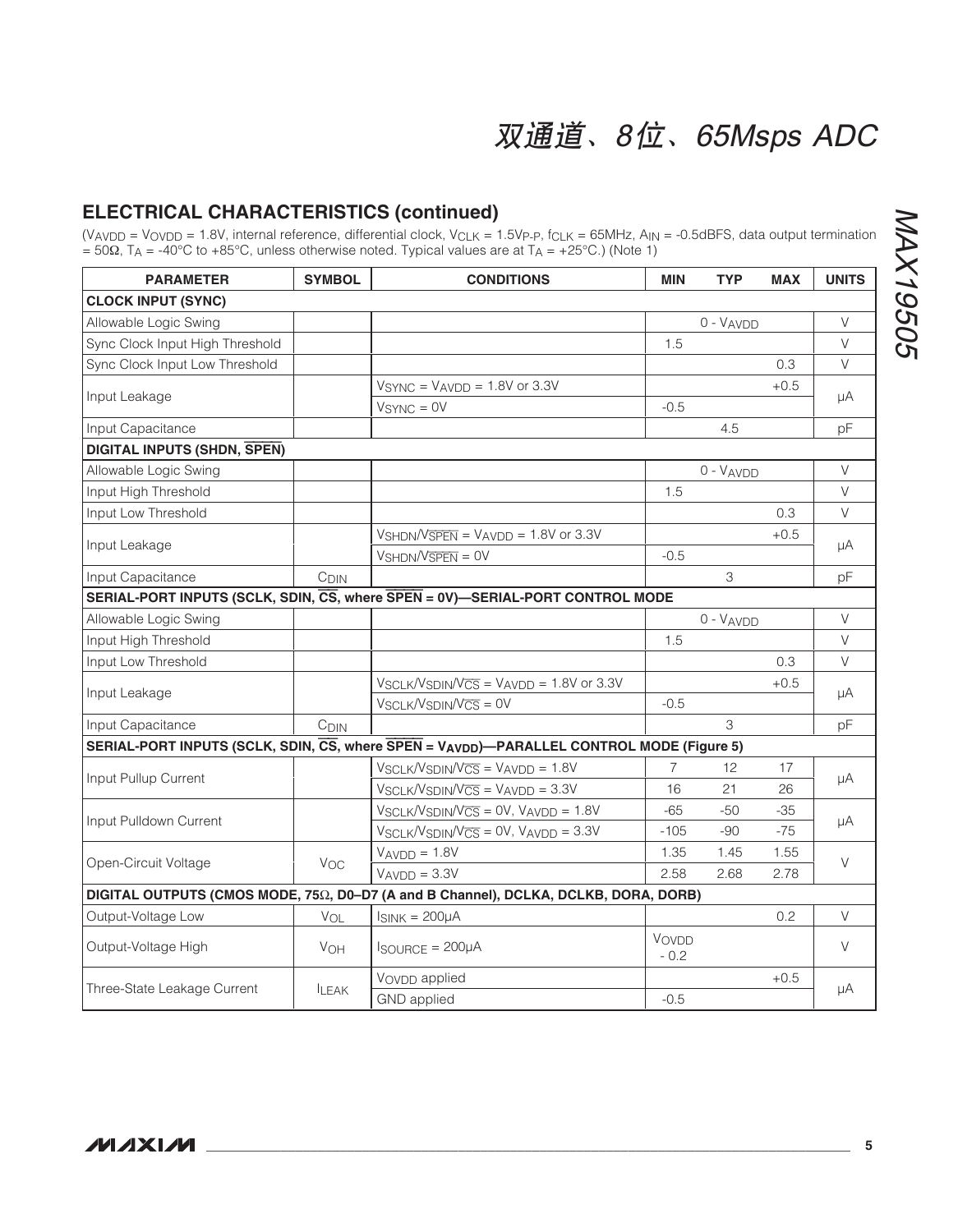### **ELECTRICAL CHARACTERISTICS (continued)**

 $(V_{AVDD} = V_{OVDD} = 1.8V$ , internal reference, differential clock,  $V_{CLK} = 1.5V_{P\text{-}P}$ ,  $f_{CLK} = 65MHz$ ,  $A_{IN} = -0.5dBFS$ , data output termination  $= 50Ω$ , T<sub>A</sub> = -40°C to +85°C, unless otherwise noted. Typical values are at T<sub>A</sub> = +25°C.) (Note 1)

| <b>PARAMETER</b>                   | <b>SYMBOL</b>         | <b>CONDITIONS</b>                                                                        | <b>MIN</b>      | <b>TYP</b> | <b>MAX</b> | <b>UNITS</b> |
|------------------------------------|-----------------------|------------------------------------------------------------------------------------------|-----------------|------------|------------|--------------|
| <b>CLOCK INPUT (SYNC)</b>          |                       |                                                                                          |                 |            |            |              |
| Allowable Logic Swing              |                       |                                                                                          |                 | 0 - VAVDD  |            | V            |
| Sync Clock Input High Threshold    |                       |                                                                                          | 1.5             |            |            | V            |
| Sync Clock Input Low Threshold     |                       |                                                                                          |                 |            | 0.3        | V            |
|                                    |                       | $VSYNC = VAVDD = 1.8V$ or 3.3V                                                           |                 |            | $+0.5$     |              |
| Input Leakage                      |                       | $VSYNC = 0V$                                                                             | $-0.5$          |            |            | μA           |
| Input Capacitance                  |                       |                                                                                          |                 | 4.5        |            | pF           |
| <b>DIGITAL INPUTS (SHDN, SPEN)</b> |                       |                                                                                          |                 |            |            |              |
| Allowable Logic Swing              |                       |                                                                                          |                 | 0 - VAVDD  |            | V            |
| Input High Threshold               |                       |                                                                                          | 1.5             |            |            | V            |
| Input Low Threshold                |                       |                                                                                          |                 |            | 0.3        | V            |
| Input Leakage                      |                       | $V_{\text{SHDN}}/V_{\overline{\text{SPEN}}} = V_{\text{AVDD}} = 1.8V$ or 3.3V            |                 |            | $+0.5$     |              |
|                                    |                       | $VshDN/V\overline{\text{SPEN}} = \text{OV}$                                              | $-0.5$          |            |            | μA           |
| Input Capacitance                  | C <sub>DIN</sub>      |                                                                                          |                 | 3          |            | pF           |
|                                    |                       | SERIAL-PORT INPUTS (SCLK, SDIN, CS, where SPEN = 0V)-SERIAL-PORT CONTROL MODE            |                 |            |            |              |
| Allowable Logic Swing              |                       |                                                                                          |                 | 0 - VAVDD  |            | V            |
| Input High Threshold               |                       |                                                                                          | 1.5             |            |            | V            |
| Input Low Threshold                |                       |                                                                                          |                 |            | 0.3        | V            |
|                                    |                       | $V_{SCLK}/V_{SDIM}/V_{\overline{CS}} = V_{AVDD} = 1.8V$ or 3.3V                          |                 |            | $+0.5$     |              |
| Input Leakage                      |                       | $V_{SCLK}/V_{SDIN}/V_{CS} = 0V$                                                          | $-0.5$          |            |            | μA           |
| Input Capacitance                  | C <sub>DIN</sub>      |                                                                                          |                 | 3          |            | рF           |
|                                    |                       | SERIAL-PORT INPUTS (SCLK, SDIN, CS, where SPEN = VAVDD)-PARALLEL CONTROL MODE (Figure 5) |                 |            |            |              |
|                                    |                       | $V_{SCLK}/V_{SDIN}/V_{CS} = V_{AVDD} = 1.8V$                                             | $\overline{7}$  | 12         | 17         |              |
| Input Pullup Current               |                       | $V_{SCLK}/V_{SDIN}/V_{CS} = V_{AVDD} = 3.3V$                                             | 16              | 21         | 26         | μA           |
|                                    |                       | $V_{SCLK}/V_{SDIM}/V_{CS} = 0V$ , $V_{AVDD} = 1.8V$                                      | $-65$           | $-50$      | $-35$      |              |
| Input Pulldown Current             |                       | $V_{SCLK}/V_{SDIN}/V_{CS} = 0V$ , $V_{AVDD} = 3.3V$                                      | $-105$          | -90        | $-75$      | μA           |
|                                    |                       | $VAVDD = 1.8V$                                                                           | 1.35            | 1.45       | 1.55       |              |
| Open-Circuit Voltage               | Voc                   | $VAVDD = 3.3V$                                                                           | 2.58            | 2.68       | 2.78       | V            |
|                                    |                       | DIGITAL OUTPUTS (CMOS MODE, 75Ω, D0-D7 (A and B Channel), DCLKA, DCLKB, DORA, DORB)      |                 |            |            |              |
| Output-Voltage Low                 | VOL                   | $I_{SINK} = 200 \mu A$                                                                   |                 |            | 0.2        | V            |
| Output-Voltage High                | <b>V<sub>OH</sub></b> | $I$ SOURCE = $200\mu$ A                                                                  | VOVDD<br>$-0.2$ |            |            | V            |
|                                    |                       | V <sub>OVDD</sub> applied                                                                |                 |            | $+0.5$     |              |
| Three-State Leakage Current        | <b>ILEAK</b>          | <b>GND</b> applied                                                                       | $-0.5$          |            |            | μA           |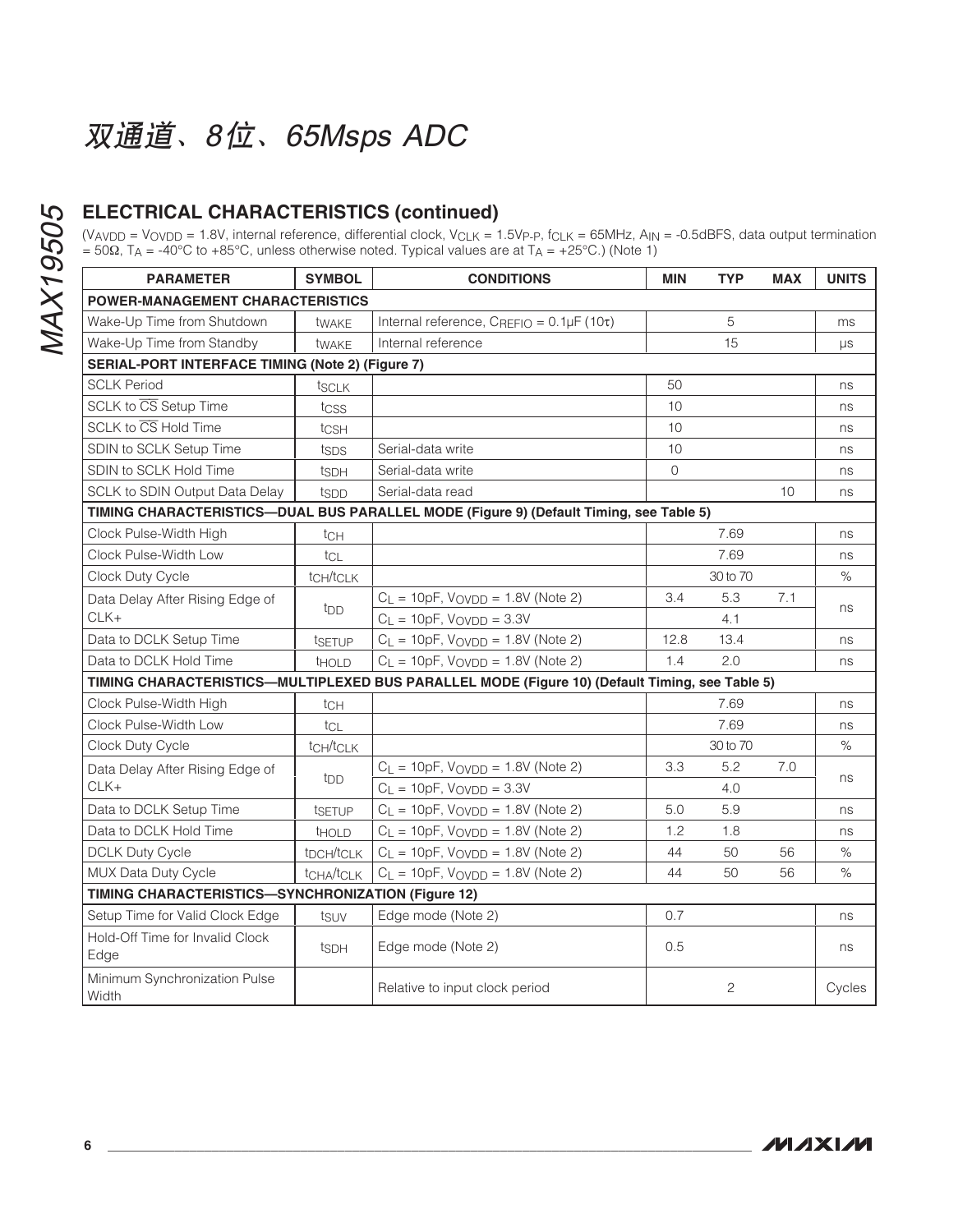### **ELECTRICAL CHARACTERISTICS (continued)**

(V<sub>AVDD</sub> = V<sub>OVDD</sub> = 1.8V, internal reference, differential clock, V<sub>CLK</sub> = 1.5Vp<sub>-P</sub>, f<sub>CLK</sub> = 65MHz, A<sub>IN</sub> = -0.5dBFS, data output termination = 50Ω, T<sub>A</sub> = -40°C to +85°C, unless otherwise noted. Typical values are at T<sub>A</sub> = +25°C.) (Note 1)

| <b>PARAMETER</b>                                                                       | <b>SYMBOL</b>                      | <b>CONDITIONS</b>                                                                              | <b>MIN</b> | <b>TYP</b>   | <b>MAX</b> | <b>UNITS</b> |
|----------------------------------------------------------------------------------------|------------------------------------|------------------------------------------------------------------------------------------------|------------|--------------|------------|--------------|
| <b>POWER-MANAGEMENT CHARACTERISTICS</b>                                                |                                    |                                                                                                |            |              |            |              |
| Wake-Up Time from Shutdown                                                             | twake                              | Internal reference, $C_{REFIO} = 0.1 \mu F (10\tau)$                                           |            | 5            |            | ms           |
| Wake-Up Time from Standby                                                              | twake                              | Internal reference                                                                             |            | 15           |            | $\mu s$      |
| SERIAL-PORT INTERFACE TIMING (Note 2) (Figure 7)                                       |                                    |                                                                                                |            |              |            |              |
| <b>SCLK Period</b>                                                                     | tsclk                              |                                                                                                | 50         |              |            | ns           |
| SCLK to $\overline{\text{CS}}$ Setup Time                                              | tcss                               |                                                                                                | 10         |              |            | ns           |
| SCLK to $\overline{\text{CS}}$ Hold Time                                               | tcs <sub>H</sub>                   |                                                                                                | 10         |              |            | ns           |
| SDIN to SCLK Setup Time                                                                | tsps                               | Serial-data write                                                                              | 10         |              |            | ns           |
| SDIN to SCLK Hold Time                                                                 | ts <sub>DH</sub>                   | Serial-data write                                                                              | $\Omega$   |              |            | ns           |
| <b>SCLK to SDIN Output Data Delay</b>                                                  | tspp                               | Serial-data read                                                                               |            |              | 10         | ns           |
| TIMING CHARACTERISTICS-DUAL BUS PARALLEL MODE (Figure 9) (Default Timing, see Table 5) |                                    |                                                                                                |            |              |            |              |
| Clock Pulse-Width High                                                                 | tch                                |                                                                                                |            | 7.69         |            | ns           |
| Clock Pulse-Width Low                                                                  | tcl                                |                                                                                                |            | 7.69         |            | ns           |
| Clock Duty Cycle                                                                       | t <sub>CH</sub> /t <sub>CLK</sub>  |                                                                                                |            | 30 to 70     |            | $\%$         |
| Data Delay After Rising Edge of                                                        |                                    | $C_{L}$ = 10pF, $V_{\text{OVDD}}$ = 1.8V (Note 2)                                              | 3.4        | 5.3          | 7.1        |              |
| $CLK+$                                                                                 | t <sub>DD</sub>                    | $C_L = 10pF$ , $V_{OVDD} = 3.3V$                                                               |            | 4.1          |            | ns           |
| Data to DCLK Setup Time                                                                | tsetup                             | $C_L = 10pF$ , $V_{OVDD} = 1.8V$ (Note 2)                                                      | 12.8       | 13.4         |            | ns           |
| Data to DCLK Hold Time                                                                 | <b>THOLD</b>                       | $C_L = 10pF$ , $V_{OVDD} = 1.8V$ (Note 2)                                                      | 1.4        | 2.0          |            | ns           |
|                                                                                        |                                    | TIMING CHARACTERISTICS—MULTIPLEXED BUS PARALLEL MODE (Figure 10) (Default Timing, see Table 5) |            |              |            |              |
| Clock Pulse-Width High                                                                 | tch                                |                                                                                                |            | 7.69         |            | ns           |
| Clock Pulse-Width Low                                                                  | tcL                                |                                                                                                |            | 7.69         |            | ns           |
| Clock Duty Cycle                                                                       | t <sub>CH</sub> /t <sub>CLK</sub>  |                                                                                                |            | 30 to 70     |            | $\%$         |
| Data Delay After Rising Edge of                                                        |                                    | $C_L = 10pF$ , $V$ <sub>OVDD</sub> = 1.8V (Note 2)                                             | 3.3        | 5.2          | 7.0        |              |
| $CLK+$                                                                                 | t <sub>DD</sub>                    | $C_L = 10pF$ , $V_{OVDD} = 3.3V$                                                               |            | 4.0          |            | ns           |
| Data to DCLK Setup Time                                                                | tsetup                             | $C_L = 10pF$ , $V_{OVDD} = 1.8V$ (Note 2)                                                      | 5.0        | 5.9          |            | ns           |
| Data to DCLK Hold Time                                                                 | <b>THOLD</b>                       | $C_L = 10pF$ , $V_{OVDD} = 1.8V$ (Note 2)                                                      | 1.2        | 1.8          |            | ns           |
| <b>DCLK Duty Cycle</b>                                                                 | t <sub>DCH</sub> /t <sub>CLK</sub> | $C_L = 10pF$ , $V_{OVDD} = 1.8V$ (Note 2)                                                      | 44         | 50           | 56         | $\%$         |
| MUX Data Duty Cycle                                                                    | t <sub>CHA</sub> /t <sub>CLK</sub> | $C_L = 10pF$ , $V$ <sub>O</sub> $V$ <sub>D</sub> $ = 1.8V$ (Note 2)                            | 44         | 50           | 56         | $\%$         |
| TIMING CHARACTERISTICS-SYNCHRONIZATION (Figure 12)                                     |                                    |                                                                                                |            |              |            |              |
| Setup Time for Valid Clock Edge                                                        | tsuv                               | Edge mode (Note 2)                                                                             | 0.7        |              |            | ns           |
| Hold-Off Time for Invalid Clock<br>Edge                                                | ts <sub>DH</sub>                   | Edge mode (Note 2)                                                                             | 0.5        |              |            | ns           |
| Minimum Synchronization Pulse<br>Width                                                 |                                    | Relative to input clock period                                                                 |            | $\mathbf{2}$ |            | Cycles       |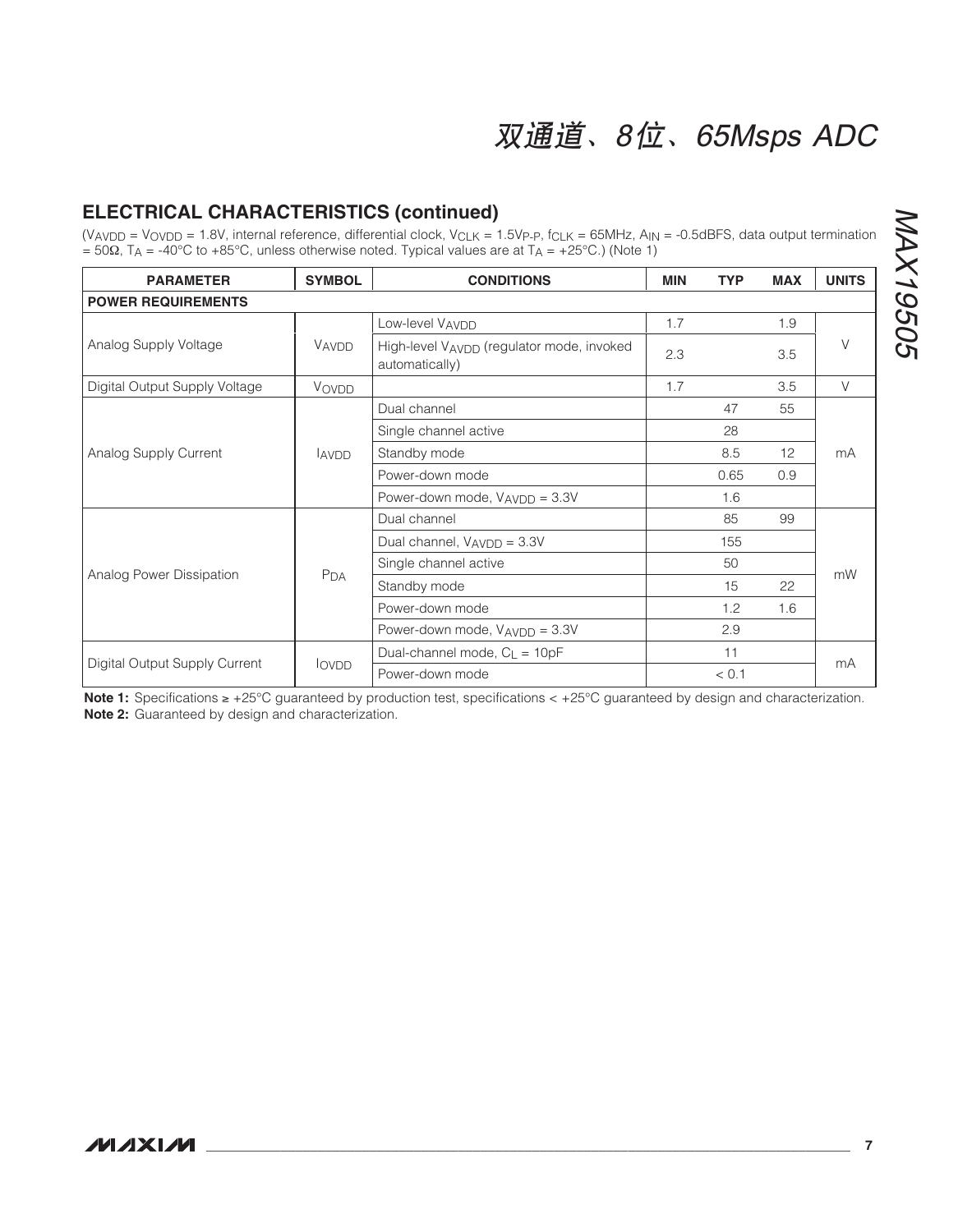### **ELECTRICAL CHARACTERISTICS (continued)**

 $(V_{AVDD} = V_{OVDD} = 1.8V$ , internal reference, differential clock,  $V_{CLK} = 1.5V_{P\text{-}P}$ ,  $f_{CLK} = 65MHz$ ,  $A_{IN} = -0.5dBFS$ , data output termination  $= 50\Omega$ , T<sub>A</sub> = -40°C to +85°C, unless otherwise noted. Typical values are at T<sub>A</sub> = +25°C.) (Note 1)

| <b>PARAMETER</b>              | <b>SYMBOL</b>   | <b>CONDITIONS</b>                                           | <b>MIN</b> | <b>TYP</b> | <b>MAX</b> | <b>UNITS</b> |
|-------------------------------|-----------------|-------------------------------------------------------------|------------|------------|------------|--------------|
| <b>POWER REQUIREMENTS</b>     |                 |                                                             |            |            |            |              |
| Analog Supply Voltage         |                 | Low-level VAVDD                                             | 1.7        |            | 1.9        |              |
|                               | VAVDD           | High-level VAVDD (regulator mode, invoked<br>automatically) | 2.3        |            | 3.5        | $\vee$       |
| Digital Output Supply Voltage | VOVDD           |                                                             | 1.7        |            | 3.5        | $\vee$       |
| Analog Supply Current         |                 | Dual channel                                                |            | 47         | 55         |              |
|                               |                 | Single channel active                                       |            | 28         |            | mA           |
|                               | <b>LAVDD</b>    | Standby mode                                                |            | 8.5        | 12         |              |
|                               |                 | Power-down mode                                             |            | 0.65       | 0.9        |              |
|                               |                 | Power-down mode, V <sub>AVDD</sub> = 3.3V                   |            | 1.6        |            |              |
|                               |                 | Dual channel                                                |            | 85         | 99         | mW           |
|                               |                 | Dual channel, V <sub>AVDD</sub> = 3.3V                      |            | 155        |            |              |
|                               |                 | Single channel active                                       |            | 50         |            |              |
| Analog Power Dissipation      | P <sub>DA</sub> | Standby mode                                                |            | 15         | 22         |              |
|                               |                 | Power-down mode                                             |            | 1.2        | 1.6        |              |
|                               |                 | Power-down mode, V <sub>AVDD</sub> = 3.3V                   |            | 2.9        |            |              |
|                               |                 | Dual-channel mode, $C_{L} = 10pF$                           |            | 11         |            | mA           |
| Digital Output Supply Current | <b>lovpp</b>    | Power-down mode                                             |            | < 0.1      |            |              |

**Note 1:** Specifications ≥ +25°C guaranteed by production test, specifications < +25°C guaranteed by design and characterization. **Note 2:** Guaranteed by design and characterization.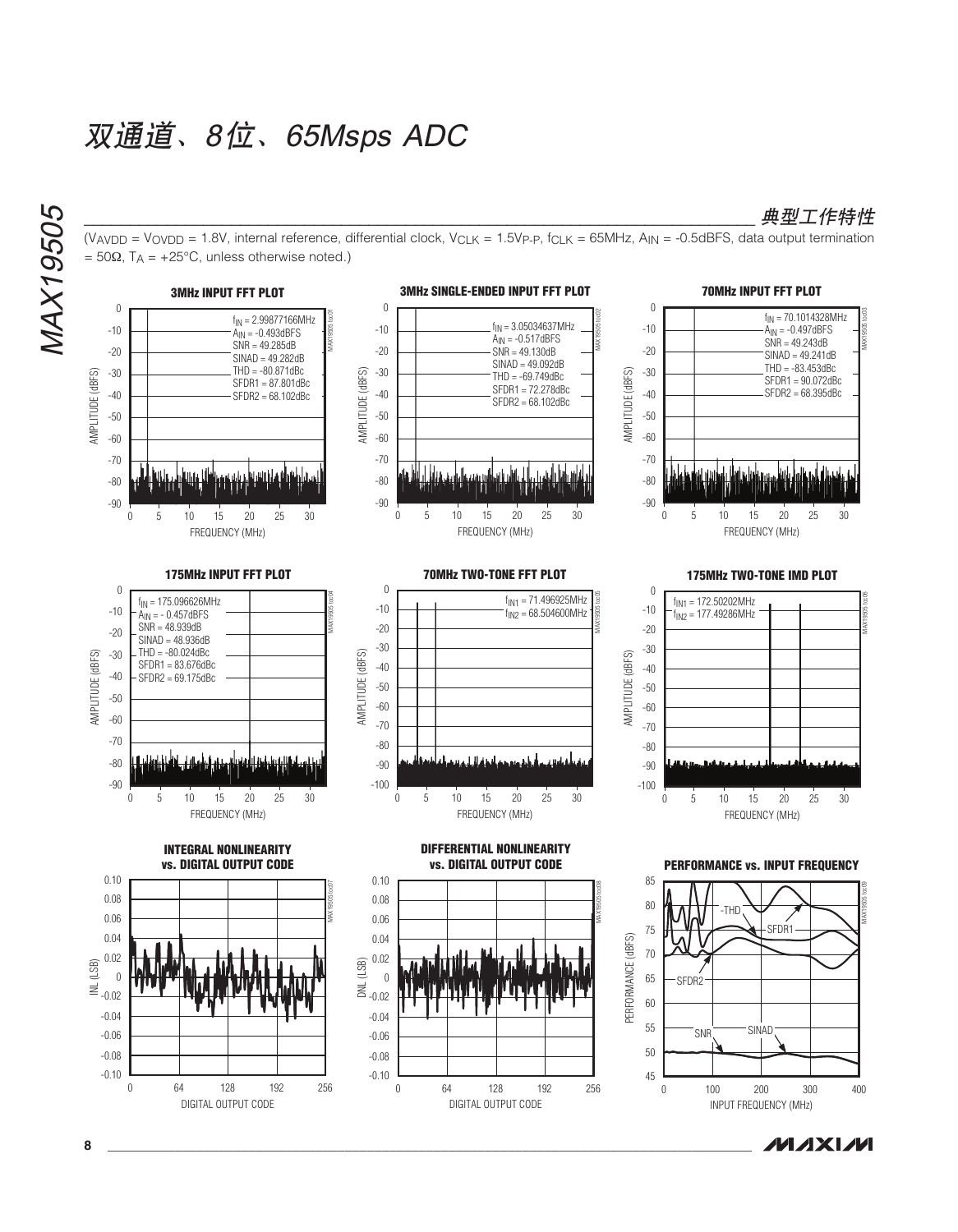$= 50\Omega$ , T<sub>A</sub> = +25°C, unless otherwise noted.)





(VAVDD = VOVDD = 1.8V, internal reference, differential clock, V<sub>CLK</sub> = 1.5Vp-p, f<sub>CLK</sub> = 65MHz, A<sub>IN</sub> = -0.5dBFS, data output termination

**MAXIM** 

\_典*型工作特性*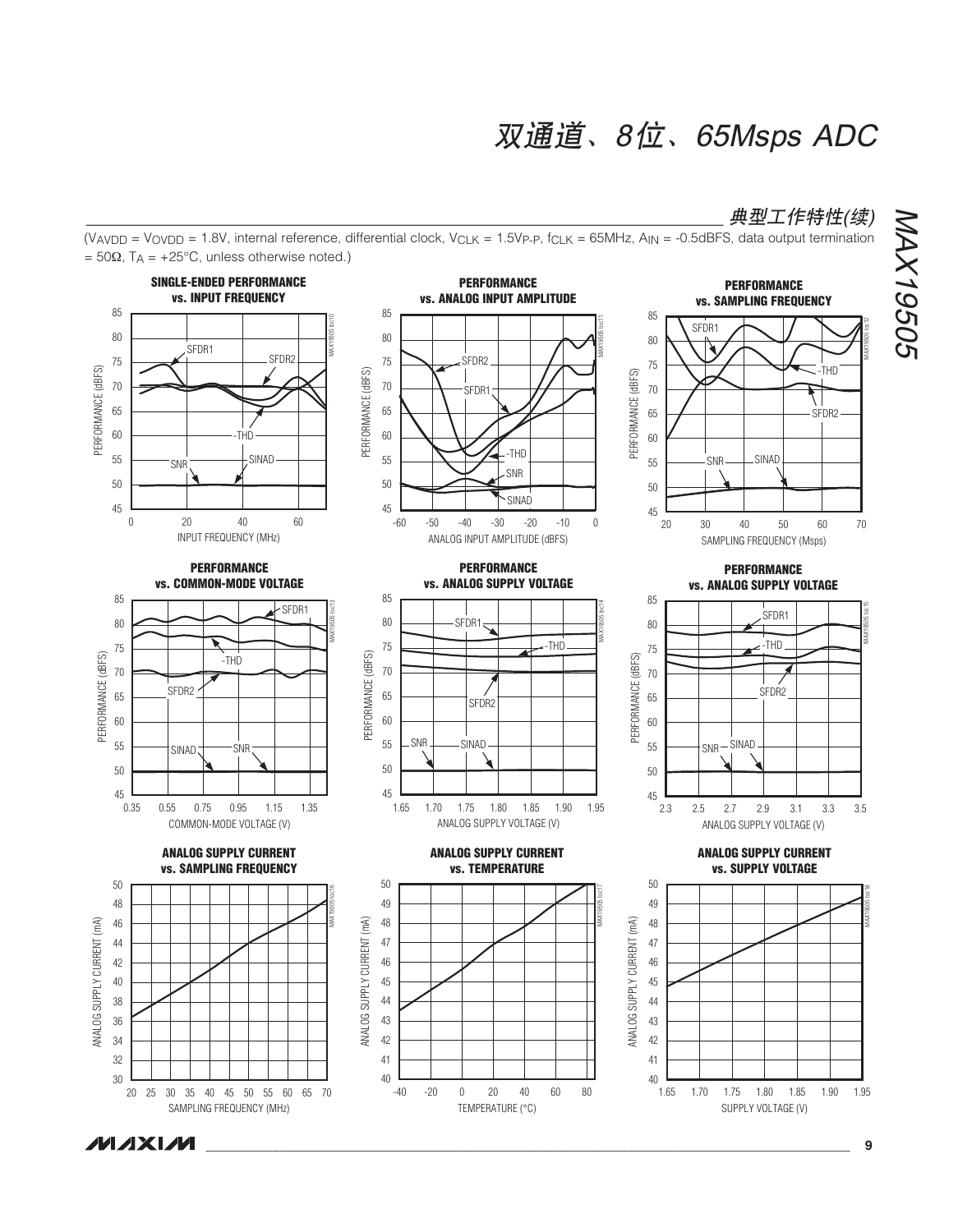### **典型工作特性(续)**

 $(V_{AVDD} = V_{OVDD} = 1.8V$ , internal reference, differential clock,  $V_{CLK} = 1.5V_{P\text{-}P}$ ,  $f_{CLK} = 65MHz$ ,  $A_{IN} = -0.5dBFS$ , data output termination  $= 50\Omega$ , T<sub>A</sub> = +25°C, unless otherwise noted.)



## NAX19505 MAX19505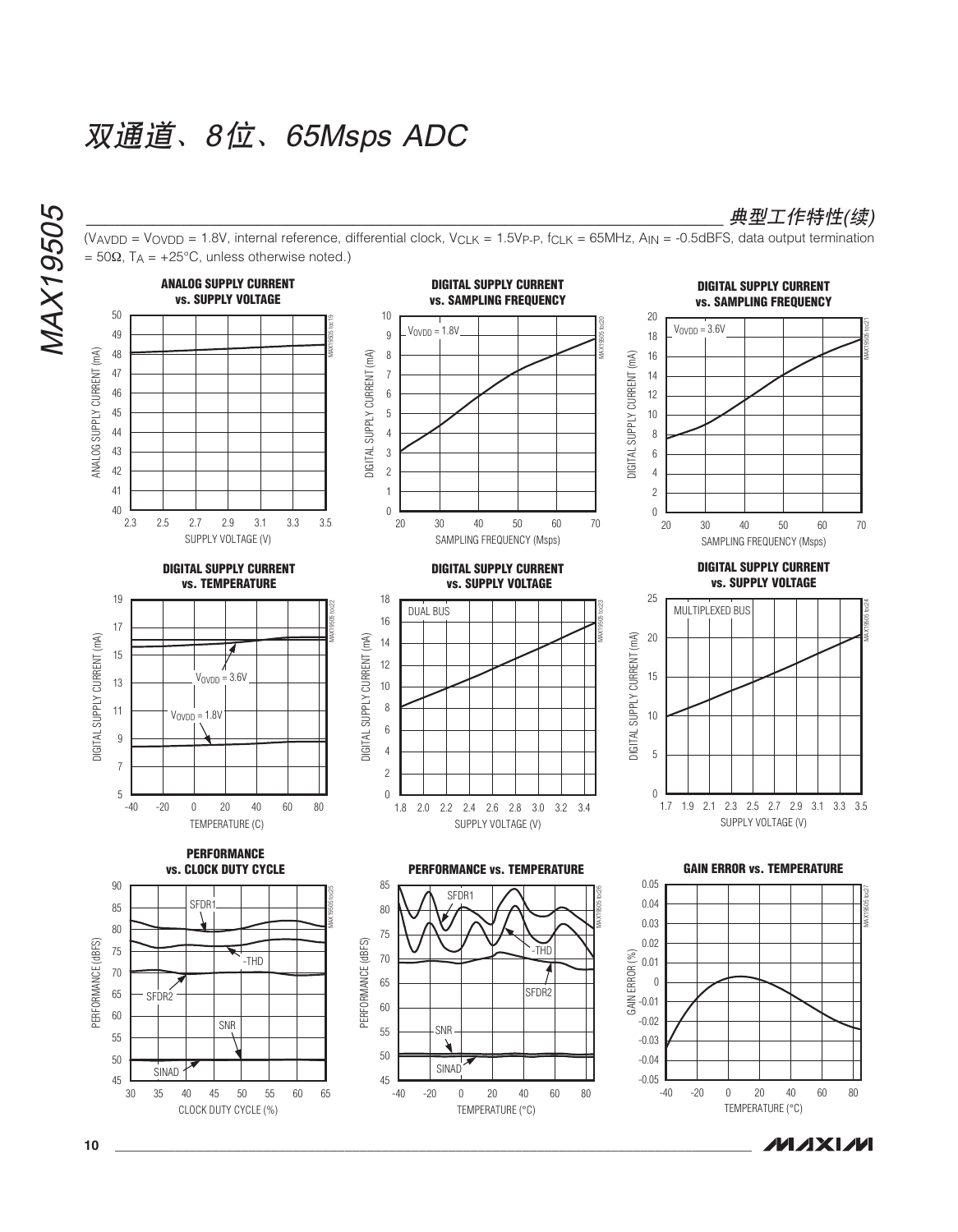**MAX19505** MAX19505



(VAVDD = VOVDD = 1.8V, internal reference, differential clock, V<sub>CLK</sub> = 1.5Vp-p, f<sub>CLK</sub> = 65MHz, A<sub>IN</sub> = -0.5dBFS, data output termination

**典型工作特性(续)** 

**10 \_\_\_\_\_\_\_\_\_\_\_\_\_\_\_\_\_\_\_\_\_\_\_\_\_\_\_\_\_\_\_\_\_\_\_\_\_\_\_\_\_\_\_\_\_\_\_\_\_\_\_\_\_\_\_\_\_\_\_\_\_\_\_\_\_\_\_\_\_\_\_\_\_\_\_\_\_\_\_\_\_\_\_\_\_\_**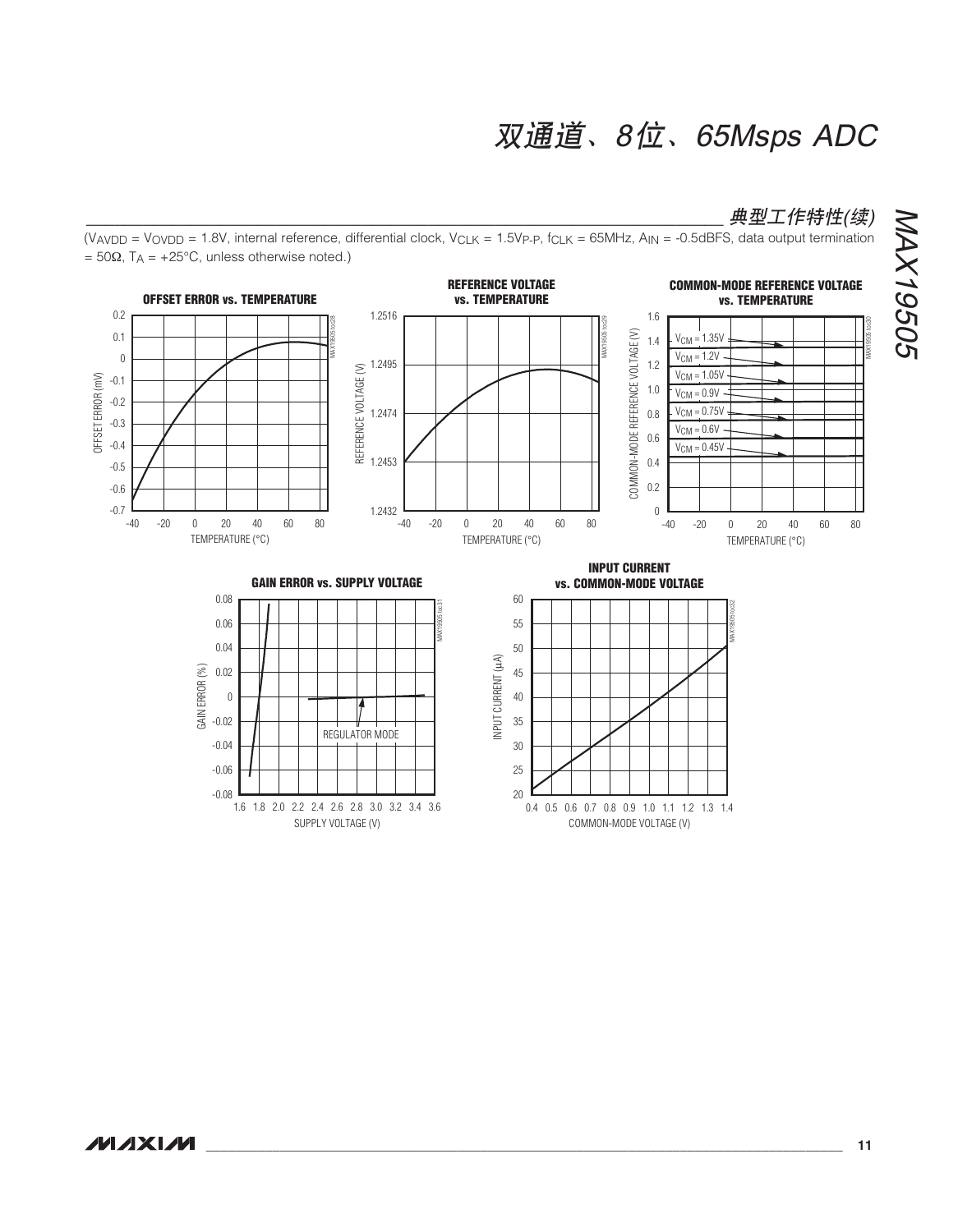COMMON-MODE VOLTAGE (V)

### 典型工作特性(续)

(VAVDD = VOVDD = 1.8V, internal reference, differential clock, V<sub>CLK</sub> = 1.5Vp-p, f<sub>CLK</sub> = 65MHz, A<sub>IN</sub> = -0.5dBFS, data output termination  $= 50\Omega$ , T<sub>A</sub> = +25°C, unless otherwise noted.)



SUPPLY VOLTAGE (V)

NAX19505 MAX19505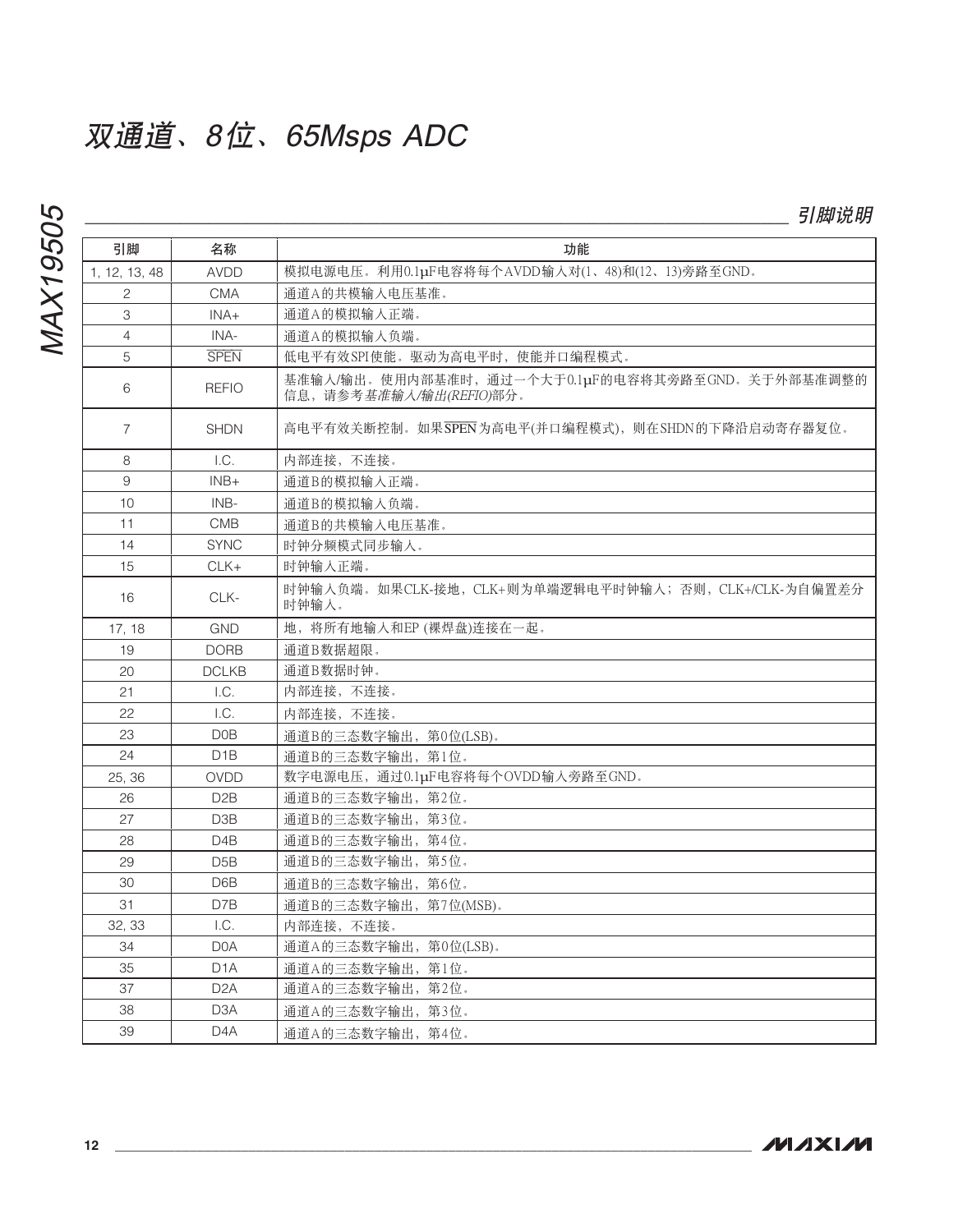# **MAX19505**

| 引脚             | 名称                       | 功能                                                                           |
|----------------|--------------------------|------------------------------------------------------------------------------|
| 1, 12, 13, 48  | <b>AVDD</b>              | 模拟电源电压。利用0.1µF电容将每个AVDD输入对(1、48)和(12、13)旁路至GND。                              |
| $\overline{c}$ | <b>CMA</b>               | 通道A的共模输入电压基准。                                                                |
| 3              | $INA+$                   | 通道A的模拟输入正端。                                                                  |
| $\overline{4}$ | INA-                     | 通道A的模拟输入负端。                                                                  |
| 5              | <b>SPEN</b>              | 低电平有效SPI使能。驱动为高电平时, 使能并口编程模式。                                                |
| 6              | <b>REFIO</b>             | 基准输入/输出。使用内部基准时,通过一个大于0.1µF的电容将其旁路至GND。关于外部基准调整的<br>信息, 请参考基准输入/输出(REFIO)部分。 |
| $\overline{7}$ | <b>SHDN</b>              | 高电平有效关断控制。如果SPEN为高电平(并口编程模式),则在SHDN的下降沿启动寄存器复位。                              |
| 8              | 1.C.                     | 内部连接,不连接。                                                                    |
| 9              | $INB+$                   | 通道B的模拟输入正端。                                                                  |
| 10             | INB-                     | 通道B的模拟输入负端。                                                                  |
| 11             | <b>CMB</b>               | 通道B的共模输入电压基准。                                                                |
| 14             | <b>SYNC</b>              | 时钟分频模式同步输入。                                                                  |
| 15             | $CLK+$                   | 时钟输入正端。                                                                      |
| 16             | CLK-                     | 时钟输入负端。如果CLK-接地, CLK+则为单端逻辑电平时钟输入; 否则, CLK+/CLK-为自偏置差分<br>时钟输入。              |
| 17, 18         | <b>GND</b>               | 地, 将所有地输入和EP (裸焊盘)连接在一起。                                                     |
| 19             | <b>DORB</b>              | 通道B数据超限。                                                                     |
| 20             | <b>DCLKB</b>             | 通道B数据时钟。                                                                     |
| 21             | $\mathsf{L}\mathsf{C}$ . | 内部连接, 不连接。                                                                   |
| 22             | L.C.                     | 内部连接,不连接。                                                                    |
| 23             | D <sub>0</sub> B         | 通道B的三态数字输出,第0位(LSB)。                                                         |
| 24             | D <sub>1</sub> B         | 通道B的三态数字输出, 第1位。                                                             |
| 25, 36         | <b>OVDD</b>              | 数字电源电压,通过0.1µF电容将每个OVDD输人旁路至GND。                                             |
| 26             | D <sub>2</sub> B         | 通道B的三态数字输出, 第2位。                                                             |
| 27             | D <sub>3</sub> B         | 通道B的三态数字输出,第3位。                                                              |
| 28             | D <sub>4</sub> B         | 通道B的三态数字输出,第4位。                                                              |
| 29             | D5B                      | 通道B的三态数字输出, 第5位。                                                             |
| 30             | D6B                      | 通道B的三态数字输出, 第6位。                                                             |
| 31             | D7B                      | 通道B的三态数字输出, 第7位(MSB)。                                                        |
| 32, 33         | L.C.                     | 内部连接, 不连接。                                                                   |
| 34             | D <sub>0</sub> A         | 通道A的三态数字输出,第0位(LSB)。                                                         |
| 35             | D <sub>1</sub> A         | 通道A的三态数字输出, 第1位。                                                             |
| 37             | D <sub>2</sub> A         | 通道A的三态数字输出,第2位。                                                              |
| 38             | D <sub>3</sub> A         | 通道A的三态数字输出, 第3位。                                                             |
| 39             | D <sub>4</sub> A         | 通道A的三态数字输出, 第4位。                                                             |

引脚说明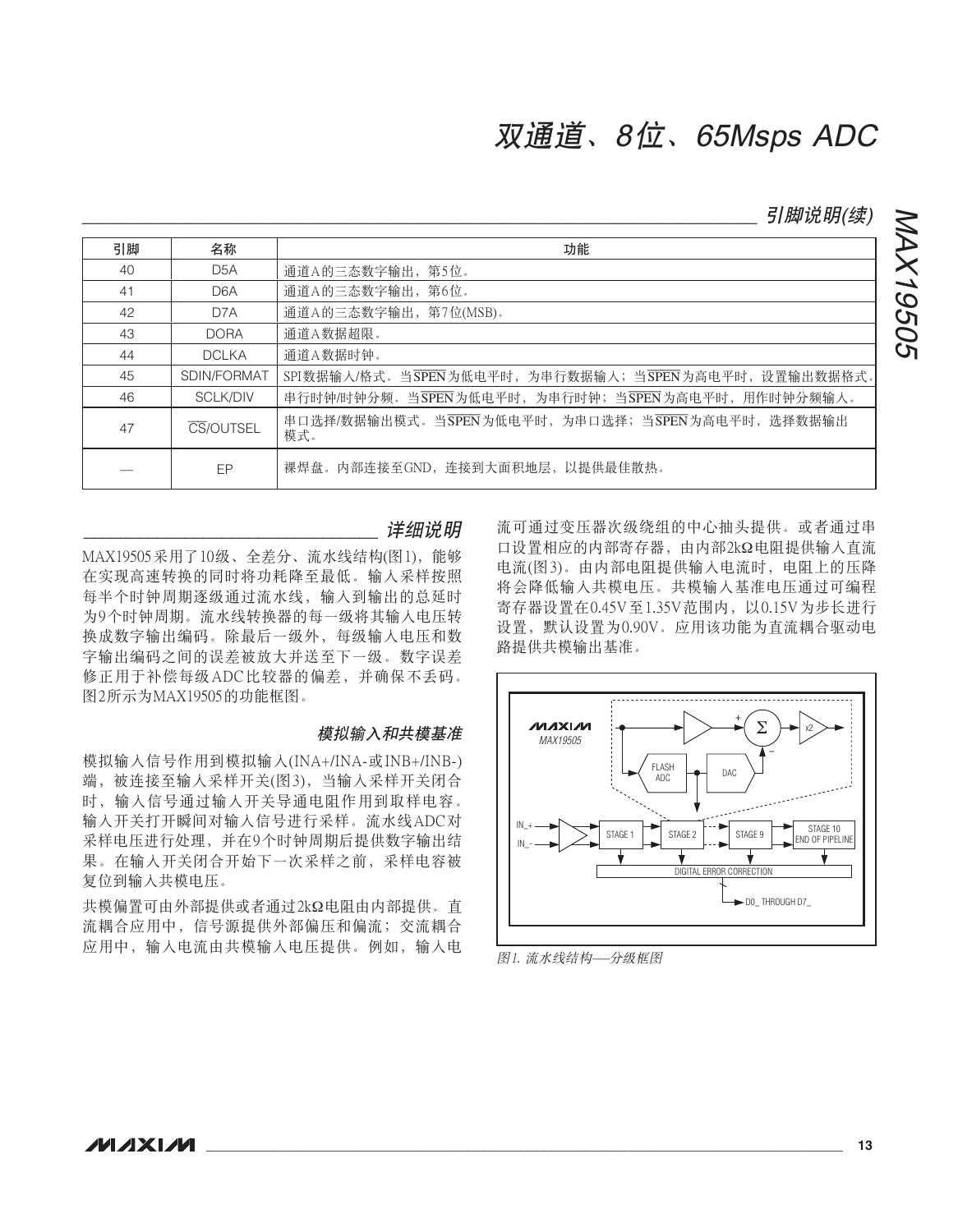*引脚说明(续)* 

NAX19505

MAX19505

| 引脚 | 名称               | 功能                                                       |
|----|------------------|----------------------------------------------------------|
| 40 | D <sub>5</sub> A | 通道A的三态数字输出, 第5位。                                         |
| 41 | D <sub>6</sub> A | 通道A的三态数字输出,第6位。                                          |
| 42 | D7A              | 通道A的三态数字输出, 第7位(MSB)。                                    |
| 43 | <b>DORA</b>      | 通道A数据超限。                                                 |
| 44 | <b>DCLKA</b>     | 通道A数据时钟。                                                 |
| 45 | SDIN/FORMAT      | SPI数据输入/格式。当SPEN为低电平时, 为串行数据输入; 当SPEN为高电平时, 设置输出数据格式。    |
| 46 | <b>SCLK/DIV</b>  | 串行时钟/时钟分频。当SPEN为低电平时, 为串行时钟; 当SPEN为高电平时, 用作时钟分频输入。       |
| 47 | CS/OUTSEL        | 串口选择/数据输出模式。当SPEN为低电平时, 为串口选择; 当SPEN为高电平时, 选择数据输出<br>模式。 |
|    | EP               | 裸焊盘。内部连接至GND,连接到大面积地层,以提供最佳散热。                           |

详细说明

MAX19505采用了10级、全差分、流水线结构(图1), 能够 在实现高速转换的同时将功耗降至最低。输入采样按照 每半个时钟周期逐级通过流水线, 输入到输出的总延时 为9个时钟周期。流水线转换器的每一级将其输入电压转 换成数字输出编码。除最后一级外,每级输入电压和数 字输出编码之间的误差被放大并送至下一级。数字误差 修正用于补偿每级ADC比较器的偏差,并确保不丢码。 图2所示为MAX19505的功能框图。

#### 模拟输入和共模基准

模拟输入信号作用到模拟输入(INA+/INA-或INB+/INB-) 端, 被连接至输入采样开关(图3), 当输入采样开关闭合 时,输入信号通过输入开关导通电阻作用到取样电容。 输入开关打开瞬间对输入信号进行采样。流水线ADC对 采样电压进行处理,并在9个时钟周期后提供数字输出结 果。在输入开关闭合开始下一次采样之前,采样电容被 复位到输入共模电压。

共模偏置可由外部提供或者通过2kΩ电阻由内部提供。直 流耦合应用中, 信号源提供外部偏压和偏流; 交流耦合 应用中、输入电流由共模输入电压提供。例如、输入电 流可通过变压器次级绕组的中心抽头提供。或者通过串 口设置相应的内部寄存器、由内部2kΩ电阻提供输入直流 电流(图3)。由内部电阻提供输入电流时, 电阻上的压降 将会降低输入共模电压。共模输入基准电压通过可编程 寄存器设置在0.45V至1.35V范围内, 以0.15V为步长进行 设置, 默认设置为0.90V。应用该功能为直流耦合驱动电 路提供共模输出基准。



图1. 流水线结构—分级框图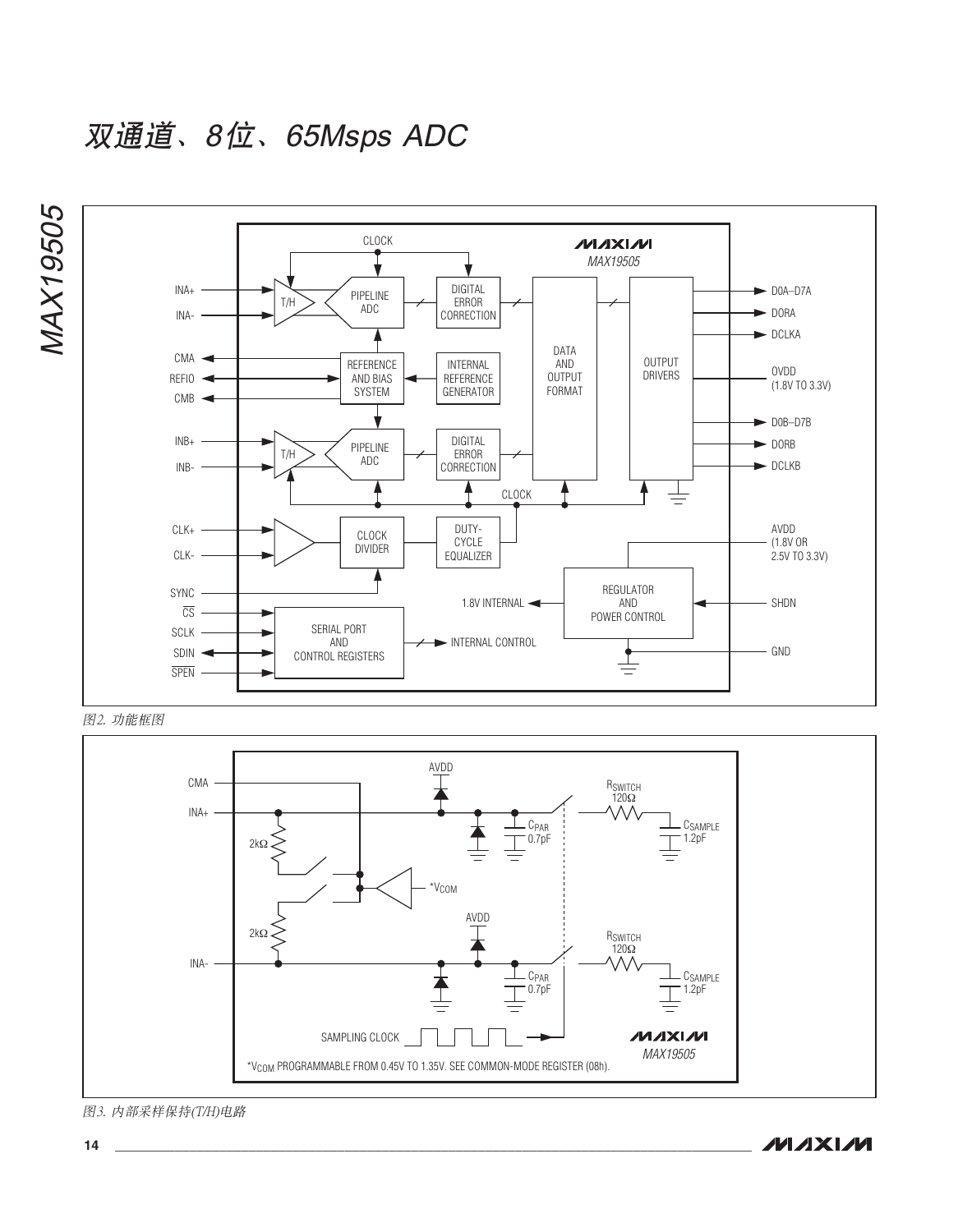双通道、8位、65Msps ADC





图3. 内部采样保持(T/H)电路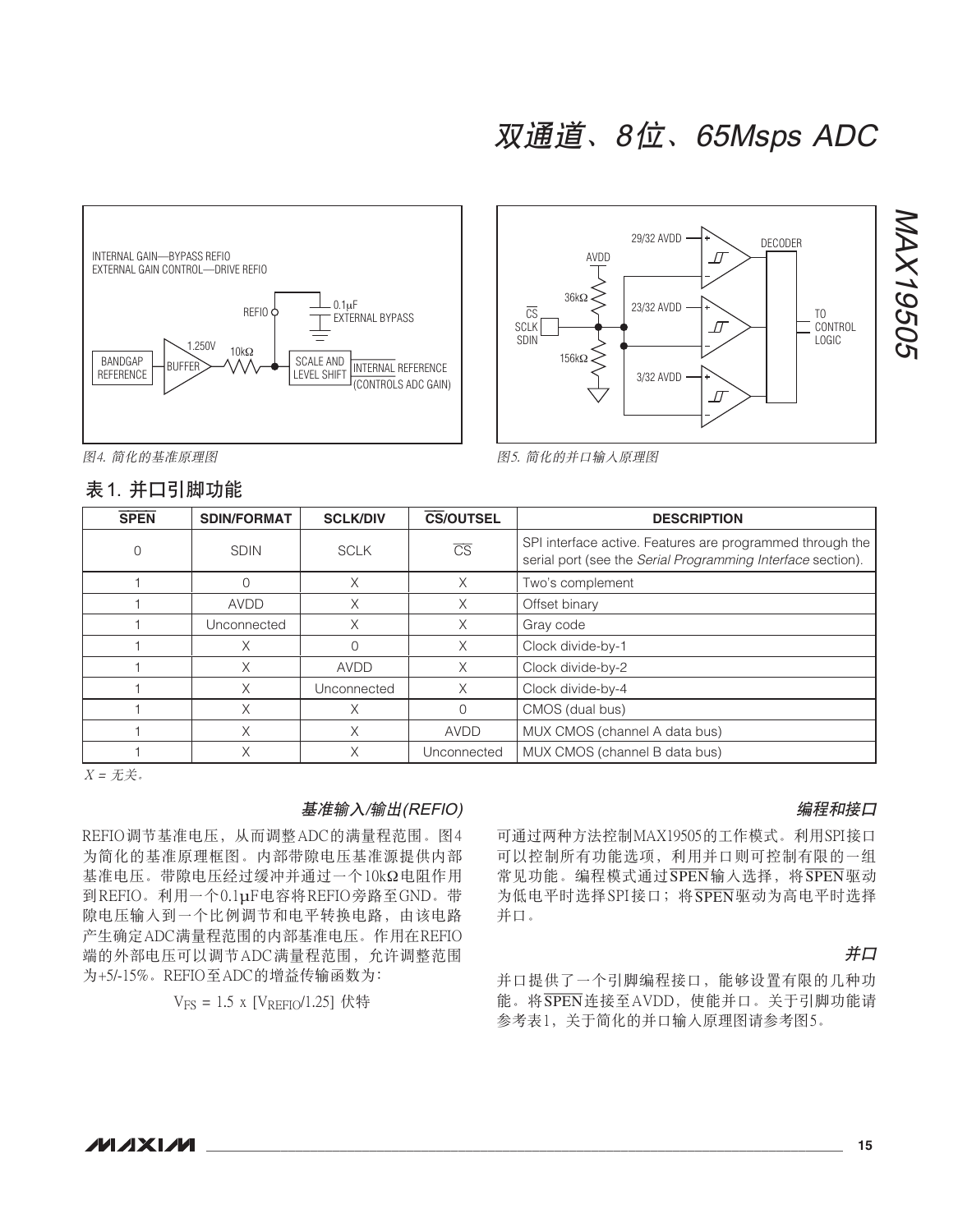



图4. 简化的基准原理图

### 表1 并口引脚功能



| <b>SPEN</b> | <b>SDIN/FORMAT</b> | <b>SCLK/DIV</b> | <b>CS/OUTSEL</b>       | <b>DESCRIPTION</b>                                                                                                       |
|-------------|--------------------|-----------------|------------------------|--------------------------------------------------------------------------------------------------------------------------|
|             | <b>SDIN</b>        | <b>SCLK</b>     | $\overline{\text{CS}}$ | SPI interface active. Features are programmed through the<br>serial port (see the Serial Programming Interface section). |
|             |                    | X               | $\times$               | Two's complement                                                                                                         |
|             | <b>AVDD</b>        | X               | X                      | Offset binary                                                                                                            |
|             | Unconnected        | Χ               | X                      | Gray code                                                                                                                |
|             | Х                  |                 | X                      | Clock divide-by-1                                                                                                        |
|             | Χ                  | <b>AVDD</b>     | X                      | Clock divide-by-2                                                                                                        |
|             | Χ                  | Unconnected     | X                      | Clock divide-by-4                                                                                                        |
|             | Χ                  | Χ               | $\Omega$               | CMOS (dual bus)                                                                                                          |
|             | Χ                  | Χ               | <b>AVDD</b>            | MUX CMOS (channel A data bus)                                                                                            |
|             | Χ                  | Χ               | Unconnected            | MUX CMOS (channel B data bus)                                                                                            |

 $X = \mathcal{H}$ 

#### 基准输入/输出(REFIO)

REFIO调节基准电压, 从而调整ADC的满量程范围。图4 为简化的基准原理框图。内部带隙电压基准源提供内部 基准电压。带隙电压经过缓冲并通过一个10kΩ电阻作用 到REFIO。利用一个0.1µF电容将REFIO旁路至GND。带 隙电压输入到一个比例调节和电平转换电路, 由该电路 产生确定ADC满量程范围的内部基准电压。作用在REFIO 端的外部电压可以调节ADC满量程范围,允许调整范围 为+5/-15%。REFIO至ADC的增益传输函数为:

 $V_{FS} = 1.5$  x [ $V_{REFIO}/1.25$ ] 伏特

#### 编程和接口

可通过两种方法控制MAX19505的工作模式。利用SPI接口 可以控制所有功能选项, 利用并口则可控制有限的一组 常见功能。编程模式通过SPEN输入选择,将SPEN驱动 为低电平时选择SPI接口; 将SPEN驱动为高电平时选择 并口。

#### 并口

并口提供了一个引脚编程接口, 能够设置有限的几种功 能。将SPEN连接至AVDD, 使能并口。关于引脚功能请 参考表1, 关于简化的并口输入原理图请参考图5。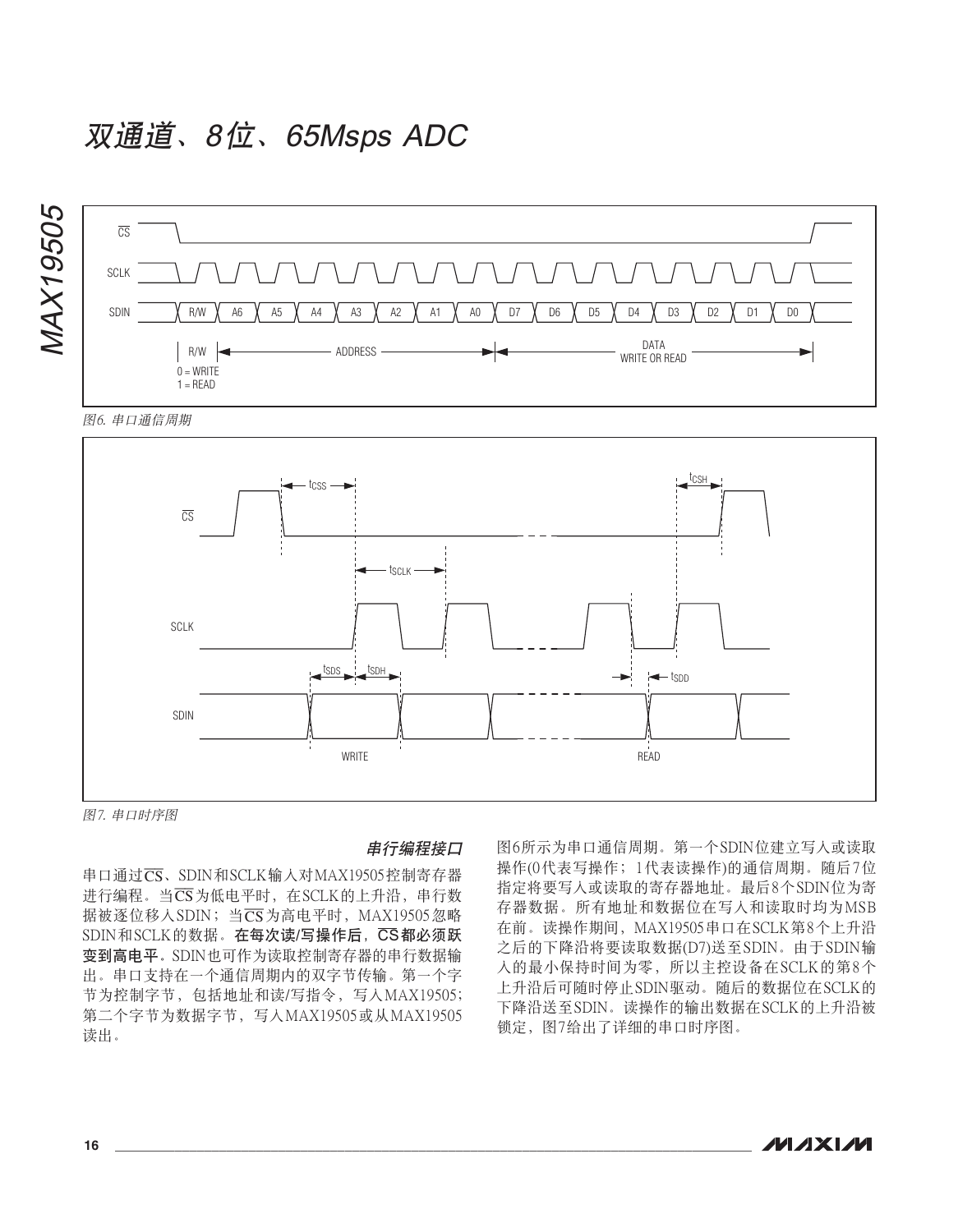

图6. 串口通信周期



图7. 串口时序图

#### 串行编程接口

串口通过CS、SDIN和SCLK输入对MAX19505控制寄存器 进行编程。当CS为低电平时, 在SCLK的上升沿, 串行数 据被逐位移入SDIN; 当 $\overline{\text{CS}}$ 为高电平时, MAX19505忽略 SDIN和SCLK的数据。在每次读/写操作后, CS都必须跃 变到高电平。SDIN也可作为读取控制寄存器的串行数据输 出。串口支持在一个通信周期内的双字节传输。第一个字 节为控制字节, 包括地址和读/写指令, 写入MAX19505; 第二个字节为数据字节, 写入MAX19505或从MAX19505 读出。

图6所示为串口通信周期。第一个SDIN位建立写入或读取 操作(0代表写操作; 1代表读操作)的通信周期。随后7位 指定将要写入或读取的寄存器地址。最后8个SDIN位为寄 存器数据。所有地址和数据位在写入和读取时均为MSB 在前。读操作期间, MAX19505串口在SCLK第8个上升沿 之后的下降沿将要读取数据(D7)送至SDIN。由于SDIN输 入的最小保持时间为零,所以主控设备在SCLK的第8个 上升沿后可随时停止SDIN驱动。随后的数据位在SCLK的 下降沿送至SDIN。读操作的输出数据在SCLK的上升沿被 锁定, 图7给出了详细的串口时序图。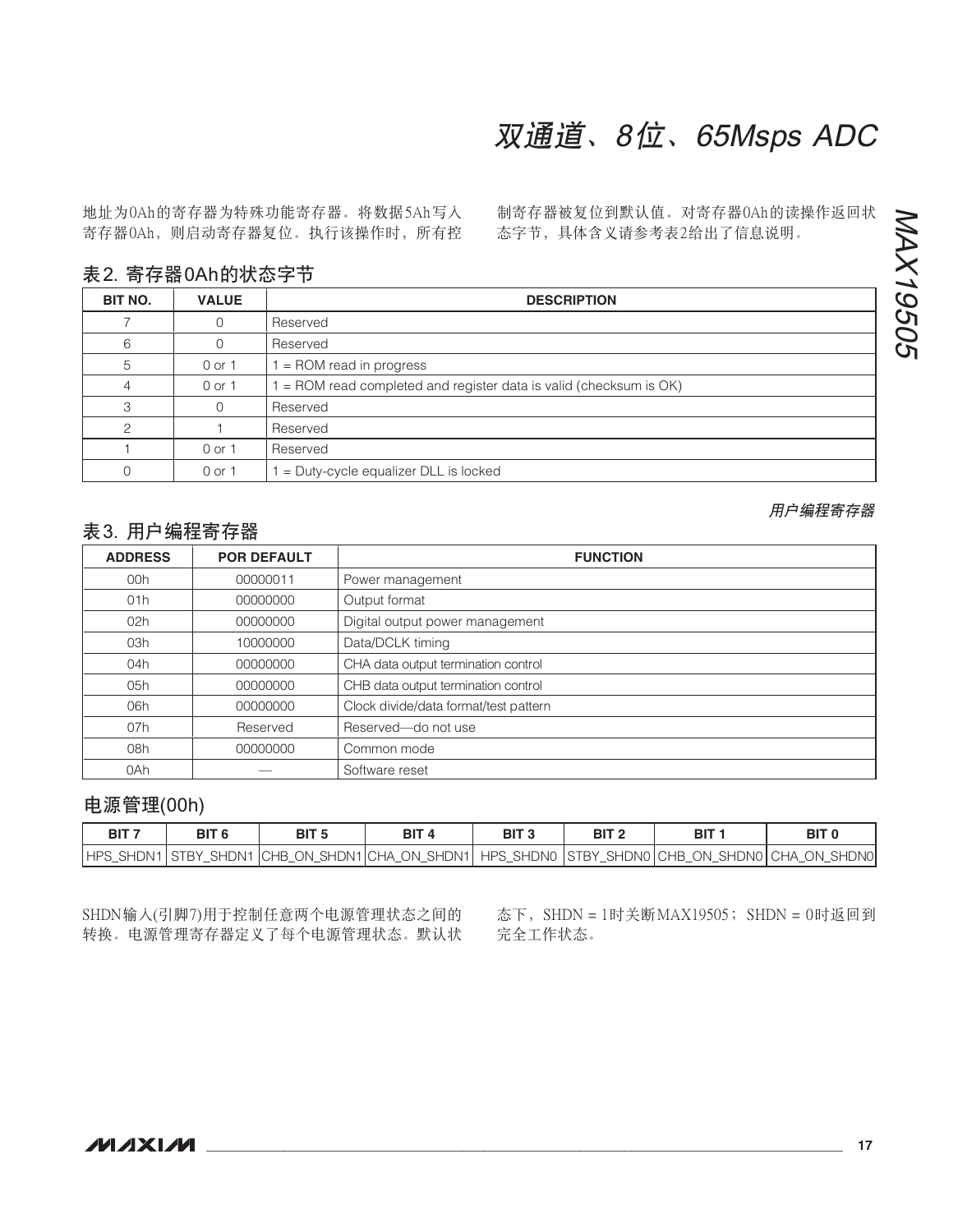| 02h | 00000000 | Digital output power management       |
|-----|----------|---------------------------------------|
| 03h | 10000000 | Data/DCLK timing                      |
| 04h | 00000000 | CHA data output termination control   |
| 05h | 00000000 | CHB data output termination control   |
| 06h | 00000000 | Clock divide/data format/test pattern |
| 07h | Reserved | Reserved-do not use                   |
| 08h | 00000000 | Common mode                           |
| 0Ah |          | Software reset                        |

### 表 2. 寄存器 0Ah 的状态字节

1 0 or 1 Reserved

地址为0Ah的寄存器为特殊功能寄存器。将数据5Ah写入 寄存器OAh, 则启动寄存器复位。执行该操作时, 所有控

 $0 \t 0 \t 0 \t 1 \t 1 = Duty-cycle equalizer DLL is locked$ 

00h | 00000011 | Power management 01h 00000000 Output format

ADDRESS **POR DEFAULT I** 

制寄存器被复位到默认值。对寄存器OAh的读操作返回状 态字节, 具体含义请参考表2给出了信息说明。

双通道、8位、65Msps ADC

|         | ∠. 可 け 皕 ∪⌒!!!)伙 心 丁  ノ |                                                                    |
|---------|-------------------------|--------------------------------------------------------------------|
| BIT NO. | <b>VALUE</b>            | <b>DESCRIPTION</b>                                                 |
|         |                         | Reserved                                                           |
|         |                         | Reserved                                                           |
|         | 0 or 1                  | $=$ ROM read in progress                                           |
|         | 0 or 1                  | $=$ ROM read completed and register data is valid (checksum is OK) |
|         |                         | Reserved                                                           |
|         |                         | Reserved                                                           |

### 表 3. 用户编程寄存器

| BIT <sub>6</sub> |  | BIT <sub>3</sub> |                                                                                                      |  |
|------------------|--|------------------|------------------------------------------------------------------------------------------------------|--|
|                  |  |                  | HPS SHDN1 STBY SHDN1 CHB ON SHDN1 CHA ON SHDN1   HPS SHDN0  STBY SHDN0   CHB ON SHDN0   CHA ON SHDN0 |  |

SHDN输入(引脚7)用于控制任意两个电源管理状态之间的 转换。电源管理寄存器定义了每个电源管理状态。默认状 态下, SHDN = 1时关断MAX19505; SHDN = 0时返回到 完全工作状态。

用户编程寄存器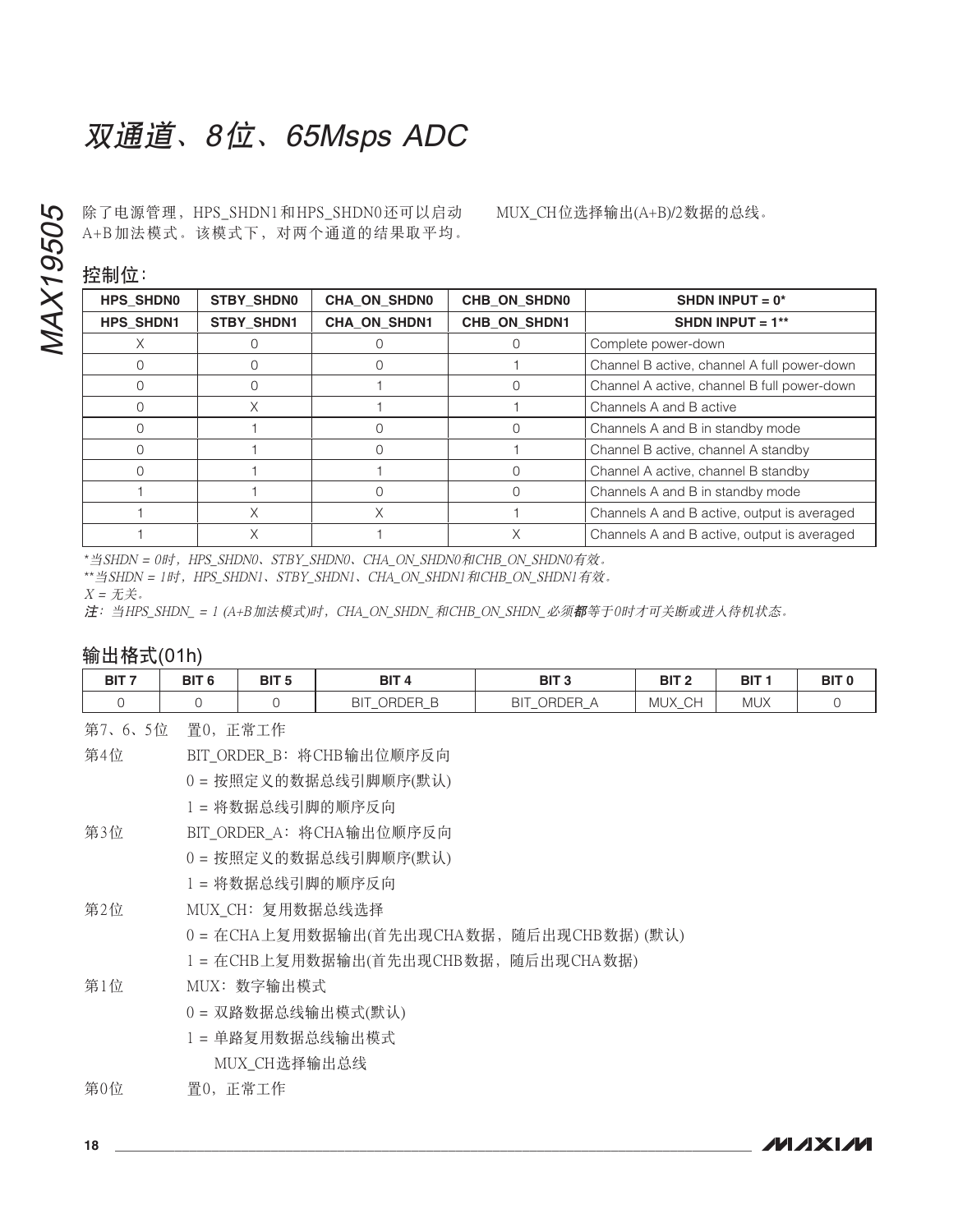除了电源管理, HPS SHDN1和HPS SHDN0还可以启动 A+B加法模式。该模式下, 对两个通道的结果取平均。

MUX CH位选择输出(A+B)/2数据的总线。

控制位:

| ----             |                   |                     |              |                                             |
|------------------|-------------------|---------------------|--------------|---------------------------------------------|
| <b>HPS SHDN0</b> | <b>STBY SHDNO</b> | <b>CHA ON SHDN0</b> | CHB ON SHDN0 | SHDN INPUT = $0*$                           |
| <b>HPS SHDN1</b> | <b>STBY SHDN1</b> | <b>CHA ON SHDN1</b> | CHB ON SHDN1 | SHDN INPUT = $1**$                          |
|                  |                   |                     |              | Complete power-down                         |
|                  |                   |                     |              | Channel B active, channel A full power-down |
|                  |                   |                     |              | Channel A active, channel B full power-down |
|                  | Χ                 |                     |              | Channels A and B active                     |
|                  |                   |                     |              | Channels A and B in standby mode            |
|                  |                   |                     |              | Channel B active, channel A standby         |
|                  |                   |                     |              | Channel A active, channel B standby         |
|                  |                   |                     |              | Channels A and B in standby mode            |
|                  | Χ                 |                     |              | Channels A and B active, output is averaged |
|                  | Χ                 |                     |              | Channels A and B active, output is averaged |

\*当SHDN = 0时, HPS SHDN0, STBY\_SHDN0, CHA\_ON\_SHDN0和CHB\_ON\_SHDN0有效。

\*\*当SHDN = 1时, HPS\_SHDN1、STBY\_SHDN1、CHA\_ON\_SHDN1和CHB\_ON\_SHDN1有效。

 $X = \mathcal{H}$ 

注: 当HPS SHDN\_= 1 (A+B加法模式)时, CHA\_ON\_SHDN\_和CHB\_ON\_SHDN\_必须都等于0时才可关断或进入待机状态。

### 输出格式(01h)

| BIT <sub>7</sub> | BIT <sub>6</sub> | BIT <sub>5</sub>                                                                                                                                                                                                              | BIT <sub>4</sub>         | BIT <sub>3</sub> | BIT <sub>2</sub> | BIT <sub>1</sub> | BIT <sub>0</sub> |
|------------------|------------------|-------------------------------------------------------------------------------------------------------------------------------------------------------------------------------------------------------------------------------|--------------------------|------------------|------------------|------------------|------------------|
| $\mathbf{0}$     |                  |                                                                                                                                                                                                                               | BIT ORDER B              | BIT ORDER A      | MUX CH           | <b>MUX</b>       |                  |
| 第7、6、5位 置0, 正常工作 |                  |                                                                                                                                                                                                                               |                          |                  |                  |                  |                  |
| 第4位              |                  |                                                                                                                                                                                                                               | BIT ORDER B: 将CHB输出位顺序反向 |                  |                  |                  |                  |
|                  |                  |                                                                                                                                                                                                                               | 0=按照定义的数据总线引脚顺序(默认)      |                  |                  |                  |                  |
|                  |                  | the company of the company of the company of the company of the company of the company of the company of the company of the company of the company of the company of the company of the company of the company of the company |                          |                  |                  |                  |                  |

1= 将数据总线引脚的顺序反向

- 第3位 BIT ORDER A: 将CHA输出位顺序反向
	- 0=按照定义的数据总线引脚顺序(默认)
	- 1= 将数据总线引脚的顺序反向
- 第2位 MUX\_CH: 复用数据总线选择
	- 0 = 在CHA上复用数据输出(首先出现CHA数据, 随后出现CHB数据) (默认)
	- 1 = 在CHB上复用数据输出(首先出现CHB数据, 随后出现CHA数据)
- 第1位 MUX: 数字输出模式
	- 0= 双路数据总线输出模式(默认)
	- 1 = 单路复用数据总线输出模式

MUX CH选择输出总线

#### 第0位 置0, 正常工作

**MAXIM** 

**MAX19505**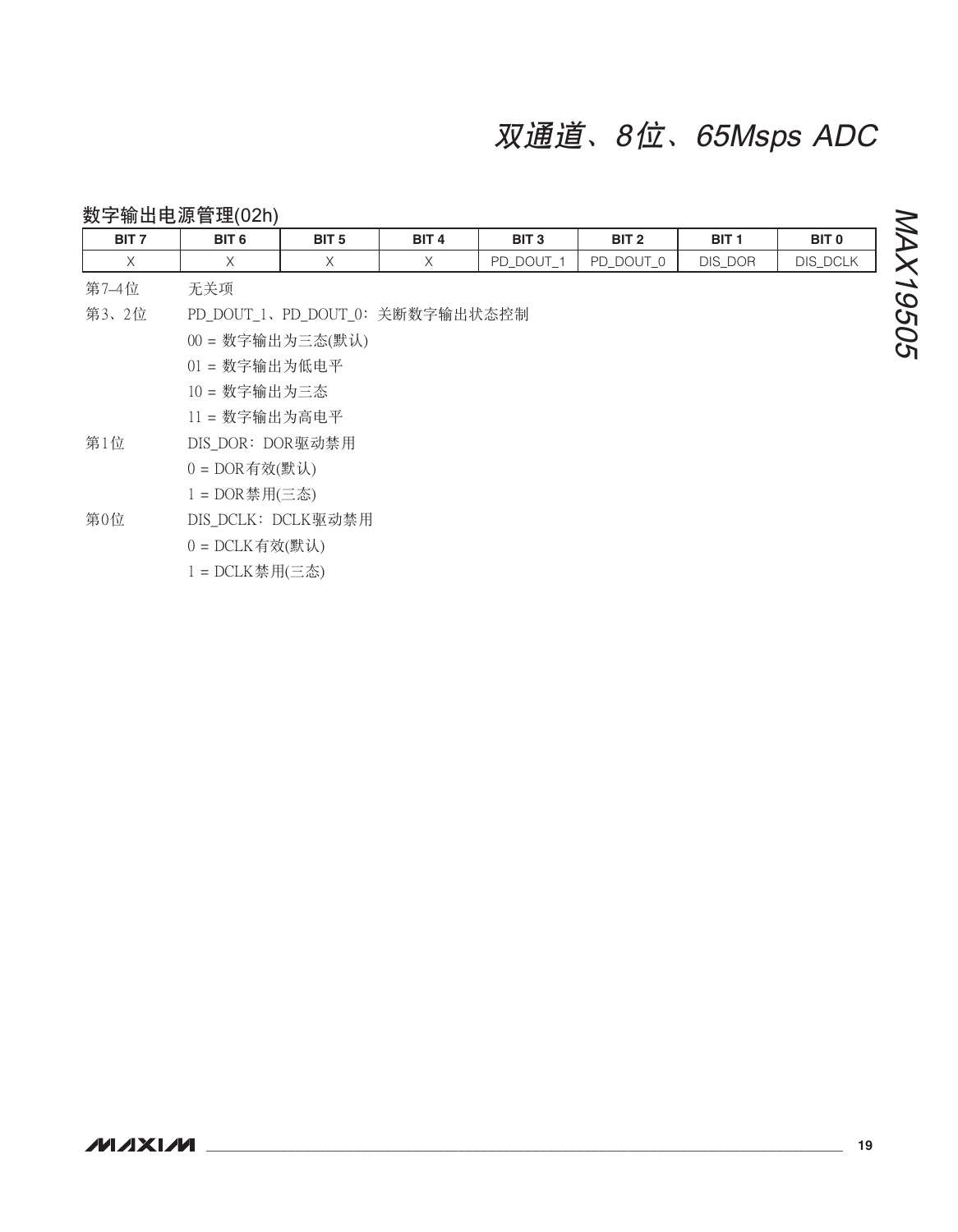#### 数字输出电源管理(02h) MAX19505 BIT<sub>0</sub> BIT<sub>7</sub> BIT<sub>6</sub> BIT<sub>5</sub> BIT<sub>4</sub> BIT<sub>3</sub> BIT<sub>2</sub> BIT<sub>1</sub> **DIS\_DCLK**  $\mathsf X$  $\mathsf X$  $\mathsf X$  $\mathsf X$ PD\_DOUT\_1 PD\_DOUT\_0 DIS\_DOR 第7-4位 无关项 第3、2位 PD DOUT 1、PD DOUT 0: 关断数字输出状态控制 00 = 数字输出为三态(默认) 01 = 数字输出为低电平 10 = 数字输出为三态 11 = 数字输出为高电平 第1位 DIS\_DOR: DOR驱动禁用  $0 = DOR$ 有效(默认) 1 = DOR禁用(三态) 第0位 DIS\_DCLK: DCLK驱动禁用  $0 = DCLK$ 有效(默认) 1 = DCLK禁用(三态)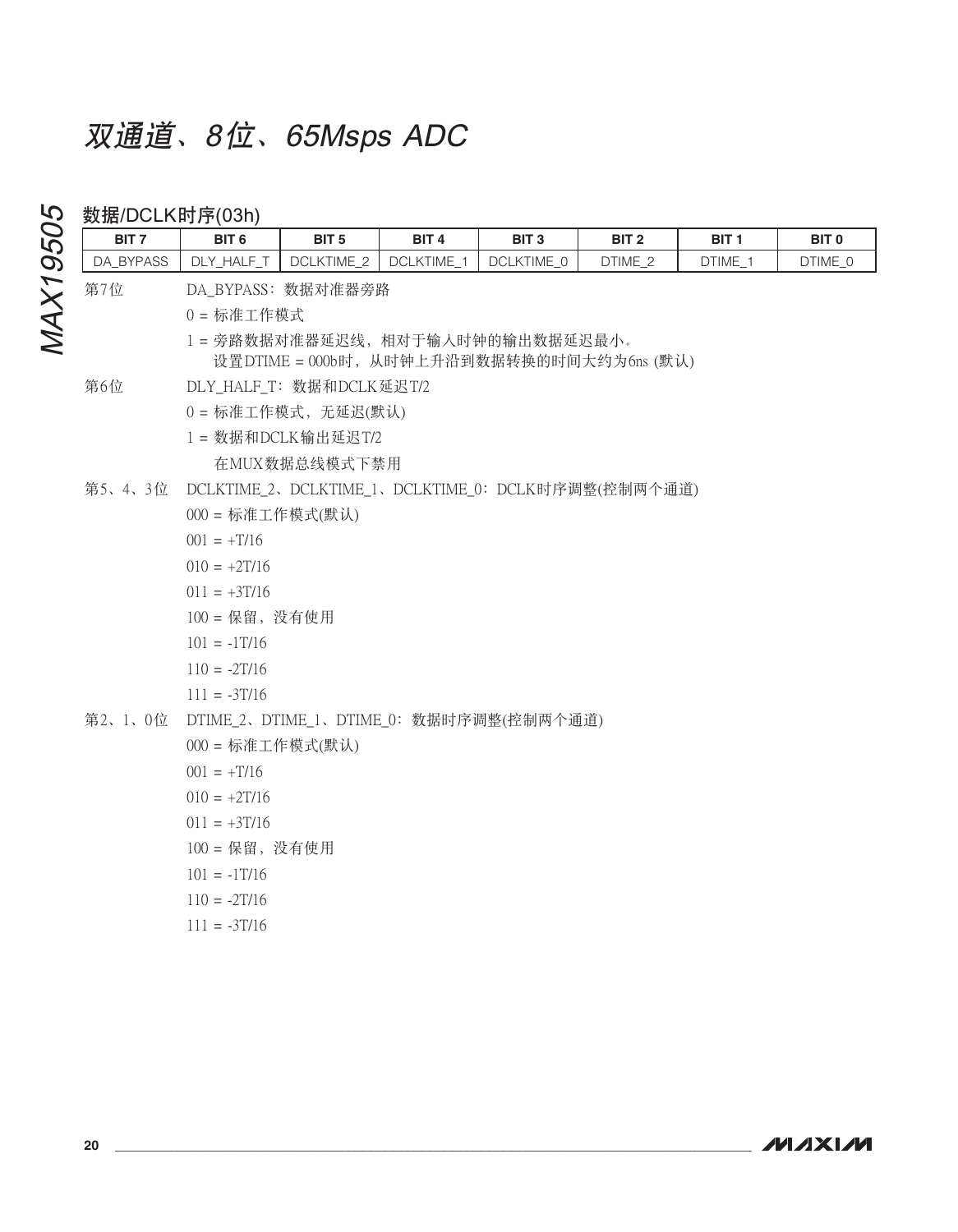### 数据/DCI K时序(03h)

| BIT <sub>7</sub> | BIT <sub>6</sub> | BIT <sub>5</sub>         | BIT <sub>4</sub> | BIT <sub>3</sub>                                   | BIT <sub>2</sub> | BIT 1   | BIT <sub>0</sub> |
|------------------|------------------|--------------------------|------------------|----------------------------------------------------|------------------|---------|------------------|
| DA_BYPASS        | DLY_HALF_T       | DCLKTIME_2               | DCLKTIME_1       | DCLKTIME_0                                         | DTIME_2          | DTIME_1 | DTIME_0          |
| 第7位              |                  | DA_BYPASS: 数据对准器旁路       |                  |                                                    |                  |         |                  |
|                  | 0=标准工作模式         |                          |                  |                                                    |                  |         |                  |
|                  |                  |                          |                  | 1 = 旁路数据对准器延迟线, 相对于输入时钟的输出数据延迟最小。                  |                  |         |                  |
|                  |                  |                          |                  | 设置DTIME = 000b时, 从时钟上升沿到数据转换的时间大约为6ns (默认)         |                  |         |                  |
| 第6位              |                  | DLY_HALF_T: 数据和DCLK延迟T/2 |                  |                                                    |                  |         |                  |
|                  |                  | 0=标准工作模式,无延迟(默认)         |                  |                                                    |                  |         |                  |
|                  |                  | 1 = 数据和DCLK输出延迟T/2       |                  |                                                    |                  |         |                  |
|                  |                  | 在MUX数据总线模式下禁用            |                  |                                                    |                  |         |                  |
| 第5、4、3位          |                  |                          |                  | DCLKTIME_2、DCLKTIME_1、DCLKTIME_0: DCLK时序调整(控制两个通道) |                  |         |                  |
|                  | 000 = 标准工作模式(默认) |                          |                  |                                                    |                  |         |                  |
|                  | $001 = +T/16$    |                          |                  |                                                    |                  |         |                  |
|                  | $010 = +2T/16$   |                          |                  |                                                    |                  |         |                  |
|                  | $011 = +3T/16$   |                          |                  |                                                    |                  |         |                  |
|                  | 100 = 保留, 没有使用   |                          |                  |                                                    |                  |         |                  |
|                  | $101 = -1T/16$   |                          |                  |                                                    |                  |         |                  |
|                  | $110 = -2T/16$   |                          |                  |                                                    |                  |         |                  |
|                  | $111 = -3T/16$   |                          |                  |                                                    |                  |         |                  |
| 第2、1、0位          |                  |                          |                  | DTIME_2、DTIME_1、DTIME_0: 数据时序调整(控制两个通道)            |                  |         |                  |
|                  | 000 = 标准工作模式(默认) |                          |                  |                                                    |                  |         |                  |
|                  | $001 = +T/16$    |                          |                  |                                                    |                  |         |                  |
|                  | $010 = +2T/16$   |                          |                  |                                                    |                  |         |                  |
|                  | $011 = +3T/16$   |                          |                  |                                                    |                  |         |                  |
|                  | 100 = 保留, 没有使用   |                          |                  |                                                    |                  |         |                  |
|                  | $101 = -1T/16$   |                          |                  |                                                    |                  |         |                  |
|                  | $110 = -2T/16$   |                          |                  |                                                    |                  |         |                  |
|                  | $111 = -3T/16$   |                          |                  |                                                    |                  |         |                  |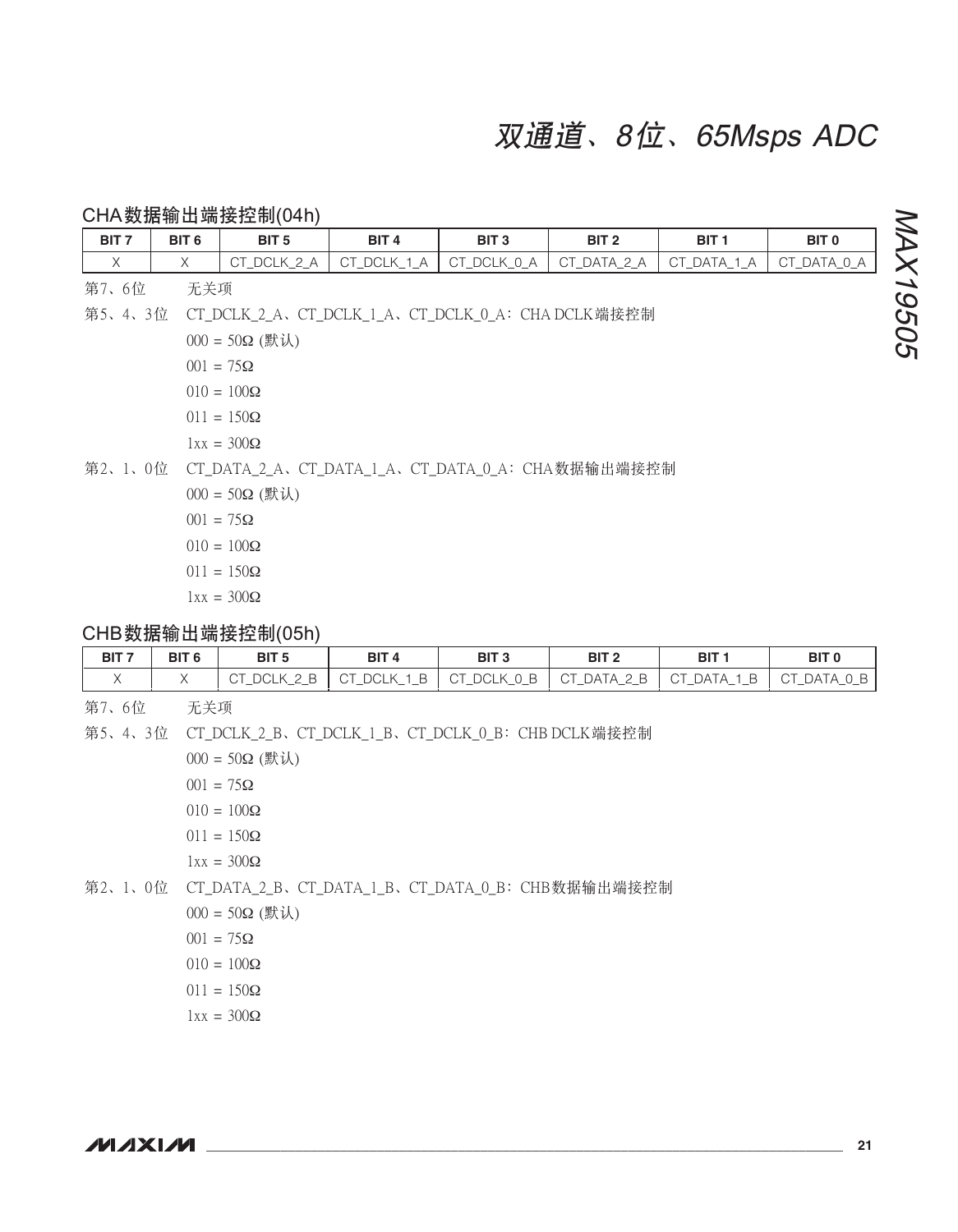CHA数据输出端接控制(04h)

| BIT <sub>7</sub> | BIT <sub>6</sub> | BIT <sub>5</sub>      | BIT <sub>4</sub> | BIT <sub>3</sub>                                         | BIT <sub>2</sub> | BIT <sub>1</sub> | BIT <sub>0</sub> |  |  |  |
|------------------|------------------|-----------------------|------------------|----------------------------------------------------------|------------------|------------------|------------------|--|--|--|
| $\times$         | $\times$         | CT_DCLK_2_A           | CT_DCLK_1_A      | CT_DCLK_0_A                                              | CT_DATA_2_A      | CT_DATA_1_A      | CT_DATA_0_A      |  |  |  |
| 第7、6位            | 无关项              |                       |                  |                                                          |                  |                  |                  |  |  |  |
|                  |                  |                       |                  | 第5、4、3位 CT_DCLK_2_A、CT_DCLK_1_A、CT_DCLK_0_A:CHA DCLK端接控制 |                  |                  |                  |  |  |  |
|                  |                  | $000 = 50\Omega$ (默认) |                  |                                                          |                  |                  |                  |  |  |  |
|                  |                  | $001 = 75\Omega$      |                  |                                                          |                  |                  |                  |  |  |  |
|                  |                  | $010 = 100\Omega$     |                  |                                                          |                  |                  |                  |  |  |  |
|                  |                  | $011 = 150\Omega$     |                  |                                                          |                  |                  |                  |  |  |  |
|                  |                  | $1xx = 300\Omega$     |                  |                                                          |                  |                  |                  |  |  |  |
|                  |                  |                       |                  | 第2、1、0位  CT_DATA_2_A、CT_DATA_1_A、CT_DATA_0_A:CHA数据输出端接控制 |                  |                  |                  |  |  |  |
|                  |                  | $000 = 50\Omega$ (默认) |                  |                                                          |                  |                  |                  |  |  |  |
|                  |                  | $001 = 75\Omega$      |                  |                                                          |                  |                  |                  |  |  |  |
|                  |                  | $010 = 100\Omega$     |                  |                                                          |                  |                  |                  |  |  |  |

 $1xx = 300\Omega$ 

 $011 = 150\Omega$ 

### CHB数据输出端接控制(05h)

| BIT <sub>7</sub> | BIT <sub>6</sub> | BIT <sub>5</sub>             | BIT <sub>4</sub> | BIT <sub>3</sub>             | $-BIT C$                                      | <b>BIT</b>                | <b>BIT C</b>        |
|------------------|------------------|------------------------------|------------------|------------------------------|-----------------------------------------------|---------------------------|---------------------|
|                  |                  | $\circ$ T DCLK $\sim$<br>___ | CT DCLK<br>$-$   | LB CT_DCLK_0_B<br>-<br>.<br> | $\vdash$ CT DATA 2 B<br>--<br><u>—</u><br>$-$ | DATA<br>-н<br>- CT<br>$-$ | ' Aر<br>- C I<br>-- |

第7、6位 无关项

第5、4、3位 CT\_DCLK\_2\_B、CT\_DCLK\_1\_B、CT\_DCLK\_0\_B: CHB DCLK端接控制

 $000 = 50Ω$  (默认)

 $001 = 75\Omega$ 

 $010 = 100\Omega$ 

 $011 = 150\Omega$ 

 $1xx = 300\Omega$ 

第2、1、0位 CT\_DATA\_2\_B、CT\_DATA\_1\_B、CT\_DATA\_0\_B: CHB数据输出端接控制

 $000 = 50Ω$  (默认)

 $001 = 75\Omega$ 

 $010 = 100\Omega$ 

 $011 = 150\Omega$ 

 $1xx = 300\Omega$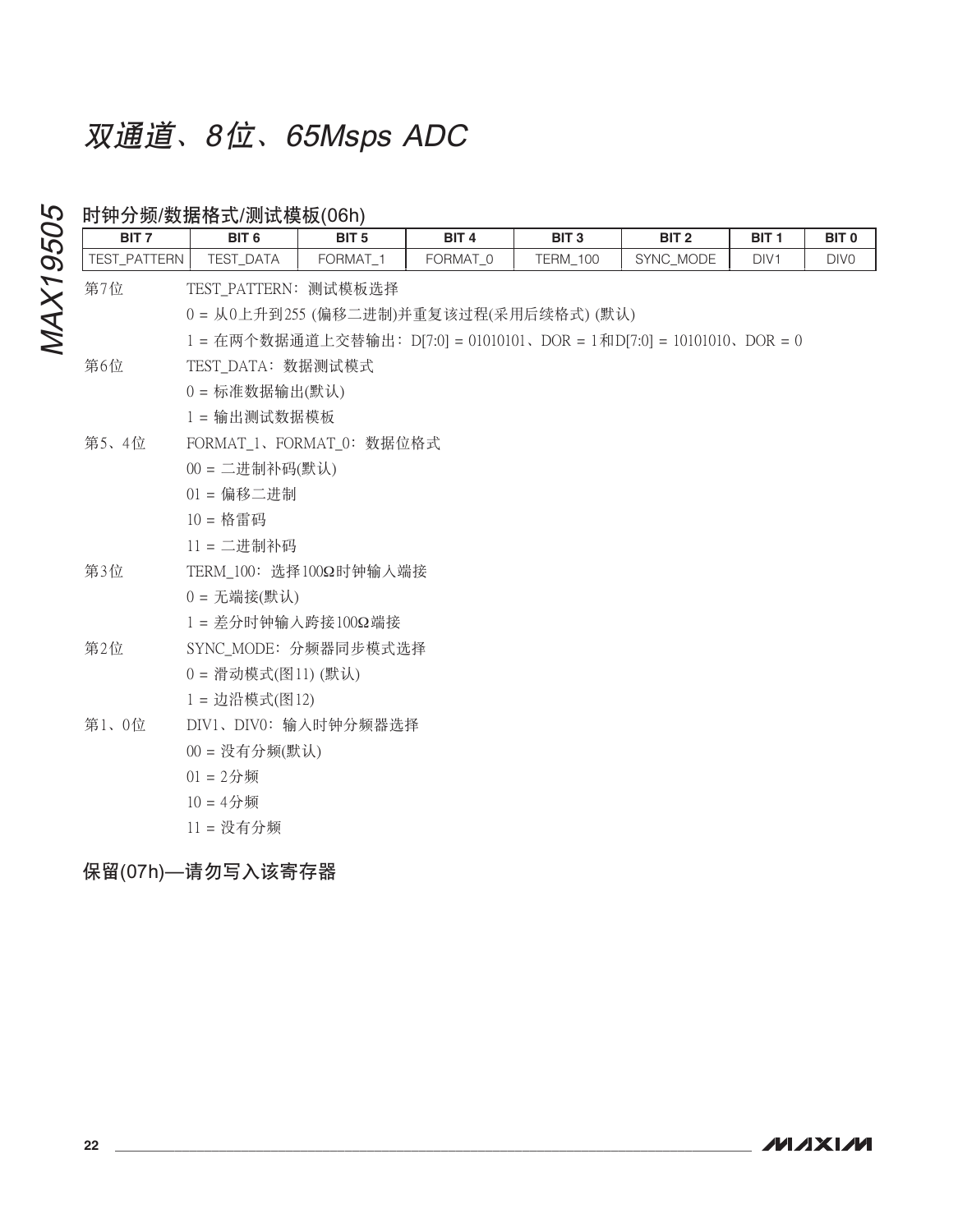| BIT <sub>7</sub> | BIT <sub>6</sub>                                                      | BIT <sub>5</sub> | BIT <sub>4</sub>     | BIT <sub>3</sub> | BIT <sub>2</sub> | BIT <sub>1</sub> | BIT <sub>0</sub> |
|------------------|-----------------------------------------------------------------------|------------------|----------------------|------------------|------------------|------------------|------------------|
| TEST_PATTERN     | TEST_DATA                                                             | FORMAT_1         | FORMAT <sub>_0</sub> | <b>TERM_100</b>  | SYNC_MODE        | DIV <sub>1</sub> | DIV <sub>0</sub> |
| 第7位              | TEST_PATTERN: 测试模板选择                                                  |                  |                      |                  |                  |                  |                  |
|                  | 0 = 从0上升到255 (偏移二进制)并重复该过程(采用后续格式) (默认)                               |                  |                      |                  |                  |                  |                  |
|                  | 1 = 在两个数据通道上交替输出: D[7:0] = 01010101、DOR = 1和D[7:0] = 10101010、DOR = 0 |                  |                      |                  |                  |                  |                  |
| 第6位              | TEST_DATA: 数据测试模式                                                     |                  |                      |                  |                  |                  |                  |
|                  | 0 = 标准数据输出(默认)                                                        |                  |                      |                  |                  |                  |                  |
|                  | 1 = 输出测试数据模板                                                          |                  |                      |                  |                  |                  |                  |
| 第5、4位            | FORMAT_1、FORMAT_0: 数据位格式                                              |                  |                      |                  |                  |                  |                  |
|                  | 00 = 二进制补码(默认)                                                        |                  |                      |                  |                  |                  |                  |
|                  | $01 = $ 偏移二进制                                                         |                  |                      |                  |                  |                  |                  |
|                  | $10 =$ 格雷码                                                            |                  |                      |                  |                  |                  |                  |
|                  | 11 = 二进制补码                                                            |                  |                      |                  |                  |                  |                  |
| 第3位              | TERM_100: 选择100Ω时钟输入端接                                                |                  |                      |                  |                  |                  |                  |
|                  | $0 = \overline{\text{H}}$ 端接(默认)                                      |                  |                      |                  |                  |                  |                  |
|                  | 1= 差分时钟输入跨接100Ω端接                                                     |                  |                      |                  |                  |                  |                  |
| 第2位              | SYNC_MODE: 分频器同步模式选择                                                  |                  |                      |                  |                  |                  |                  |
|                  | 0 = 滑动模式(图11)(默认)                                                     |                  |                      |                  |                  |                  |                  |
|                  | 1 = 边沿模式(图12)                                                         |                  |                      |                  |                  |                  |                  |
| 第1、0位            | DIV1、DIV0: 输入时钟分频器选择                                                  |                  |                      |                  |                  |                  |                  |
|                  | $00 = \mathfrak{B}$ 有分频(默认)                                           |                  |                      |                  |                  |                  |                  |
|                  | $01 = 2$ 分频                                                           |                  |                      |                  |                  |                  |                  |
|                  | $10 = 4$ 分频                                                           |                  |                      |                  |                  |                  |                  |
|                  | 11 = 没有分频                                                             |                  |                      |                  |                  |                  |                  |

### 保留(07h)—请勿写入该寄存器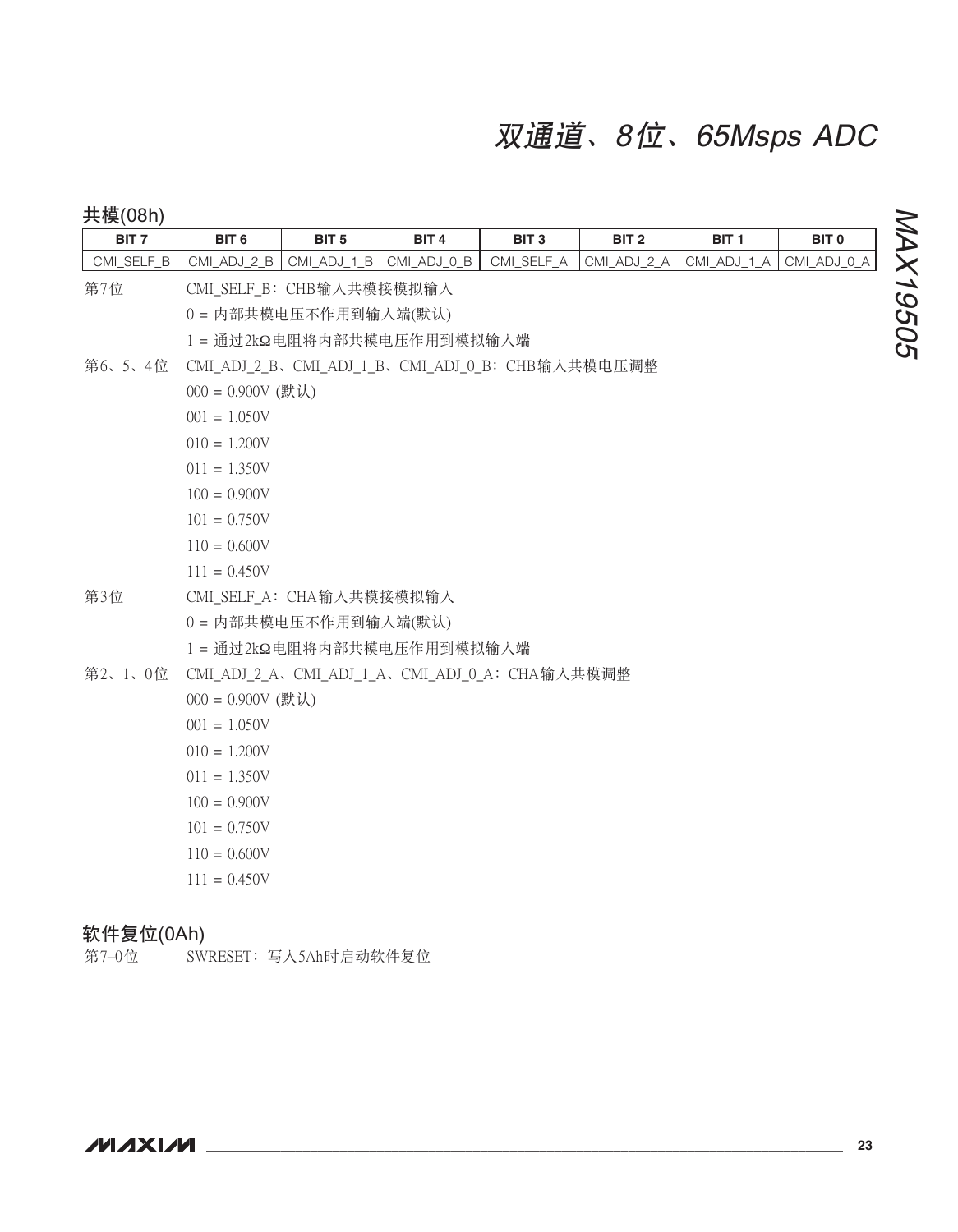| 共模(08h)          |                       |                            |                  |                                                  |                  |                  |                  |          |  |  |  |  |
|------------------|-----------------------|----------------------------|------------------|--------------------------------------------------|------------------|------------------|------------------|----------|--|--|--|--|
| BIT <sub>7</sub> | BIT <sub>6</sub>      | BIT <sub>5</sub>           | BIT <sub>4</sub> | BIT <sub>3</sub>                                 | BIT <sub>2</sub> | BIT <sub>1</sub> | BIT <sub>0</sub> |          |  |  |  |  |
| CMI_SELF_B       | CMI_ADJ_2_B           | CMI_ADJ_1_B                | CMI_ADJ_0_B      | CMI_SELF_A                                       | CMI_ADJ_2_A      | CMI_ADJ_1_A      | CMI_ADJ_0_A      |          |  |  |  |  |
| 第7位              |                       | CMI_SELF_B: CHB输入共模接模拟输入   |                  |                                                  |                  |                  |                  |          |  |  |  |  |
|                  | 0 = 内部共模电压不作用到输入端(默认) |                            |                  |                                                  |                  |                  |                  |          |  |  |  |  |
|                  |                       | 1 = 通过2kΩ电阻将内部共模电压作用到模拟输入端 |                  |                                                  |                  |                  |                  | MAX19505 |  |  |  |  |
| 第6、5、4位          |                       |                            |                  | CMI_ADJ_2_B、CMI_ADJ_1_B、CMI_ADJ_0_B: CHB输入共模电压调整 |                  |                  |                  |          |  |  |  |  |
|                  |                       | $000 = 0.900V$ (默认)        |                  |                                                  |                  |                  |                  |          |  |  |  |  |
|                  | $001 = 1.050V$        |                            |                  |                                                  |                  |                  |                  |          |  |  |  |  |
|                  | $010 = 1.200V$        |                            |                  |                                                  |                  |                  |                  |          |  |  |  |  |
|                  | $011 = 1.350V$        |                            |                  |                                                  |                  |                  |                  |          |  |  |  |  |
|                  | $100 = 0.900V$        |                            |                  |                                                  |                  |                  |                  |          |  |  |  |  |
|                  | $101 = 0.750V$        |                            |                  |                                                  |                  |                  |                  |          |  |  |  |  |
|                  | $110 = 0.600V$        |                            |                  |                                                  |                  |                  |                  |          |  |  |  |  |
|                  | $111 = 0.450V$        |                            |                  |                                                  |                  |                  |                  |          |  |  |  |  |
| 第3位              |                       | CMI_SELF_A: CHA输入共模接模拟输入   |                  |                                                  |                  |                  |                  |          |  |  |  |  |
|                  |                       | 0 = 内部共模电压不作用到输入端(默认)      |                  |                                                  |                  |                  |                  |          |  |  |  |  |
|                  |                       | 1 = 通过2kΩ电阻将内部共模电压作用到模拟输入端 |                  |                                                  |                  |                  |                  |          |  |  |  |  |
| 第2、1、0位          |                       |                            |                  | CMI_ADJ_2_A、CMI_ADJ_1_A、CMI_ADJ_0_A: CHA输入共模调整   |                  |                  |                  |          |  |  |  |  |
|                  | $000 = 0.900V$ (默认)   |                            |                  |                                                  |                  |                  |                  |          |  |  |  |  |
|                  | $001 = 1.050V$        |                            |                  |                                                  |                  |                  |                  |          |  |  |  |  |
|                  | $010 = 1.200V$        |                            |                  |                                                  |                  |                  |                  |          |  |  |  |  |
|                  | $011 = 1.350V$        |                            |                  |                                                  |                  |                  |                  |          |  |  |  |  |
|                  | $100 = 0.900V$        |                            |                  |                                                  |                  |                  |                  |          |  |  |  |  |
|                  | $101 = 0.750V$        |                            |                  |                                                  |                  |                  |                  |          |  |  |  |  |
|                  | $110 = 0.600V$        |                            |                  |                                                  |                  |                  |                  |          |  |  |  |  |
|                  | $111 = 0.450V$        |                            |                  |                                                  |                  |                  |                  |          |  |  |  |  |

### 软件复位(0Ah)

第7-0位 SWRESET: 写入5Ah时启动软件复位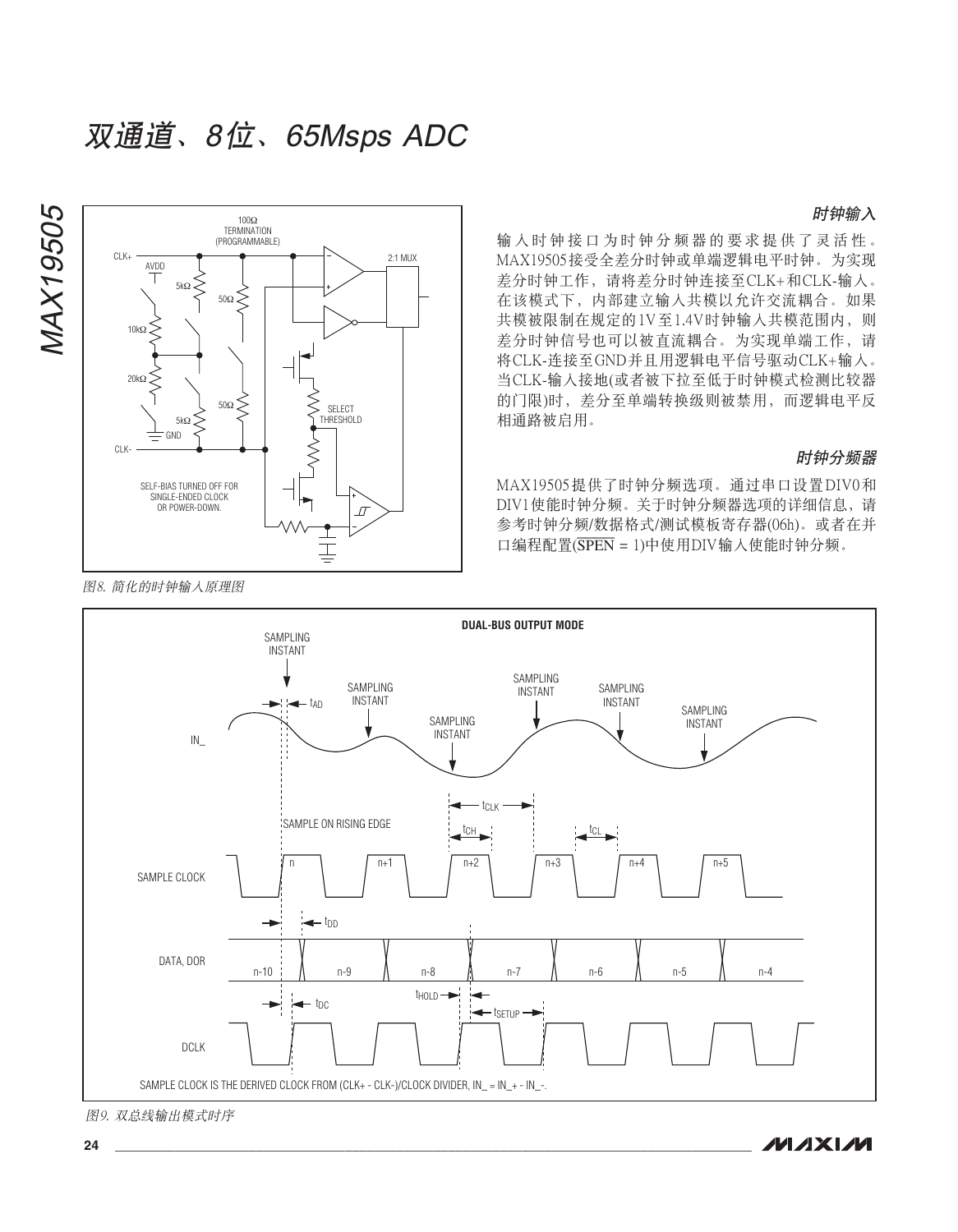#### 时钟输入



输入时钟接口为时钟分频器的要求提供了灵活性。 MAX19505接受全差分时钟或单端逻辑电平时钟。为实现 差分时钟工作, 请将差分时钟连接至CLK+和CLK-输入。 在该模式下,内部建立输入共模以允许交流耦合。如果 共模被限制在规定的1V至1.4V时钟输入共模范围内, 则 差分时钟信号也可以被直流耦合。为实现单端工作, 请 将CLK-连接至GND并且用逻辑电平信号驱动CLK+输入。 当CLK-输入接地(或者被下拉至低于时钟模式检测比较器 的门限)时,差分至单端转换级则被禁用,而逻辑电平反 相通路被启用。

#### 时钟分频器

 $MAX19505$ 提供了时钟分频洗项。通过串口设置DIV0和 DIV1使能时钟分频。关于时钟分频器洗项的详细信息,请 参考时钟分频/数据格式/测试模板寄存器(06h)。或者在并 口编程配置(SPEN = 1)中使用DIV输入使能时钟分频。





图9. 双总线输出模式时序

**MAXM**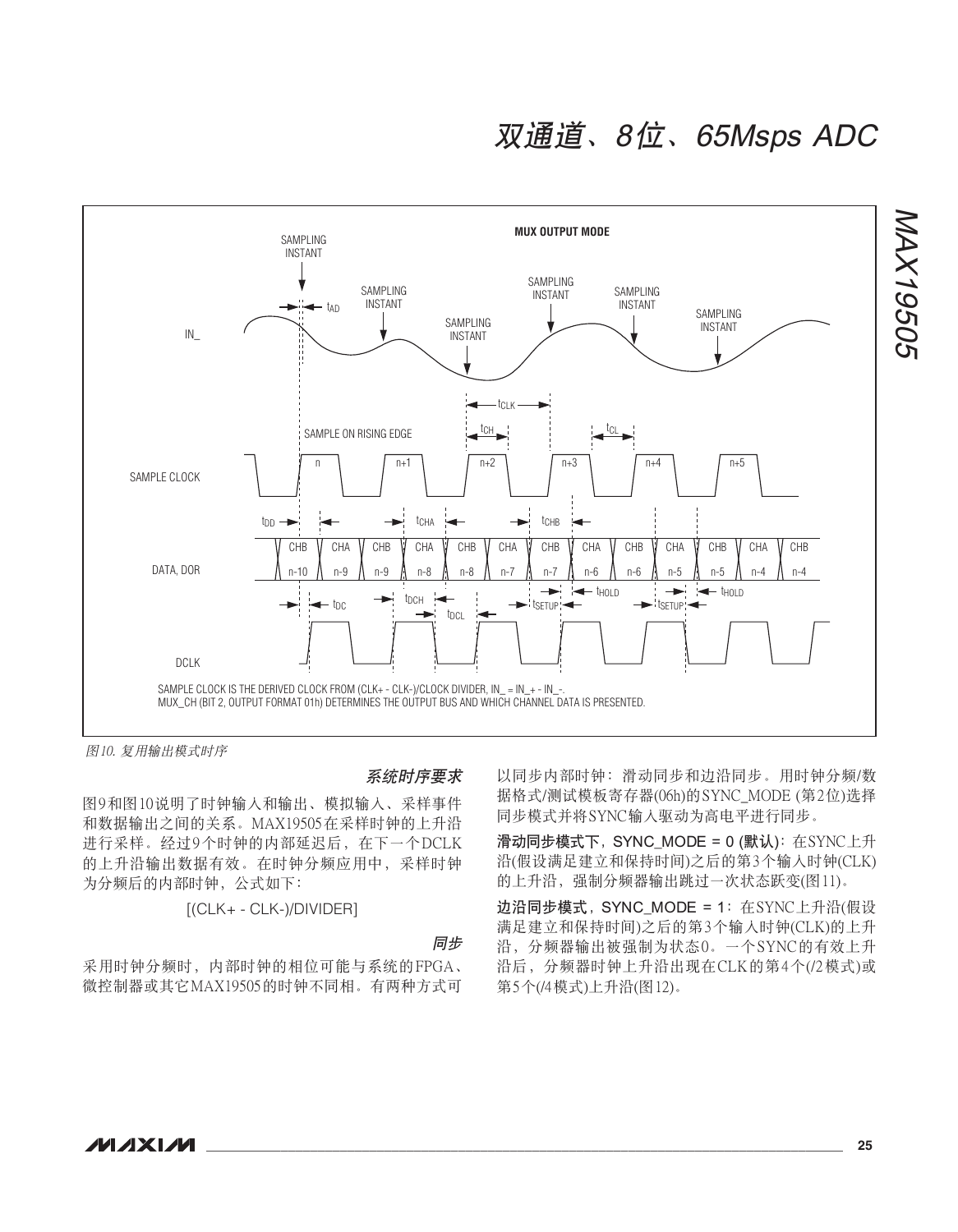

图10. 复用输出模式时序

#### 系统时序要求

图9和图10说明了时钟输入和输出、模拟输入、采样事件 和数据输出之间的关系。MAX19505在采样时钟的上升沿 进行采样。经过9个时钟的内部延迟后, 在下一个DCLK 的上升沿输出数据有效。在时钟分频应用中,采样时钟 为分频后的内部时钟, 公式如下:

[(CLK+ - CLK-)/DIVIDER]

#### 同步

采用时钟分频时,内部时钟的相位可能与系统的FPGA、 微控制器或其它MAX19505的时钟不同相。有两种方式可 以同步内部时钟: 滑动同步和边沿同步。用时钟分频/数 据格式/测试模板寄存器(06h)的SYNC MODE (第2位)选择 同步模式并将SYNC输入驱动为高电平进行同步。

滑动同步模式下, SYNC\_MODE = 0 (默认): 在SYNC上升 沿(假设满足建立和保持时间)之后的第3个输入时钟(CLK) 的上升沿, 强制分频器输出跳过一次状态跃变(图11)。

边沿同步模式, SYNC\_MODE = 1: 在SYNC上升沿(假设 满足建立和保持时间)之后的第3个输入时钟(CLK)的上升 沿, 分频器输出被强制为状态0。一个SYNC的有效上升 沿后, 分频器时钟上升沿出现在CLK的第4个(/2模式)或 第5个(/4模式)上升沿(图12)。

NAX19505

MAX19505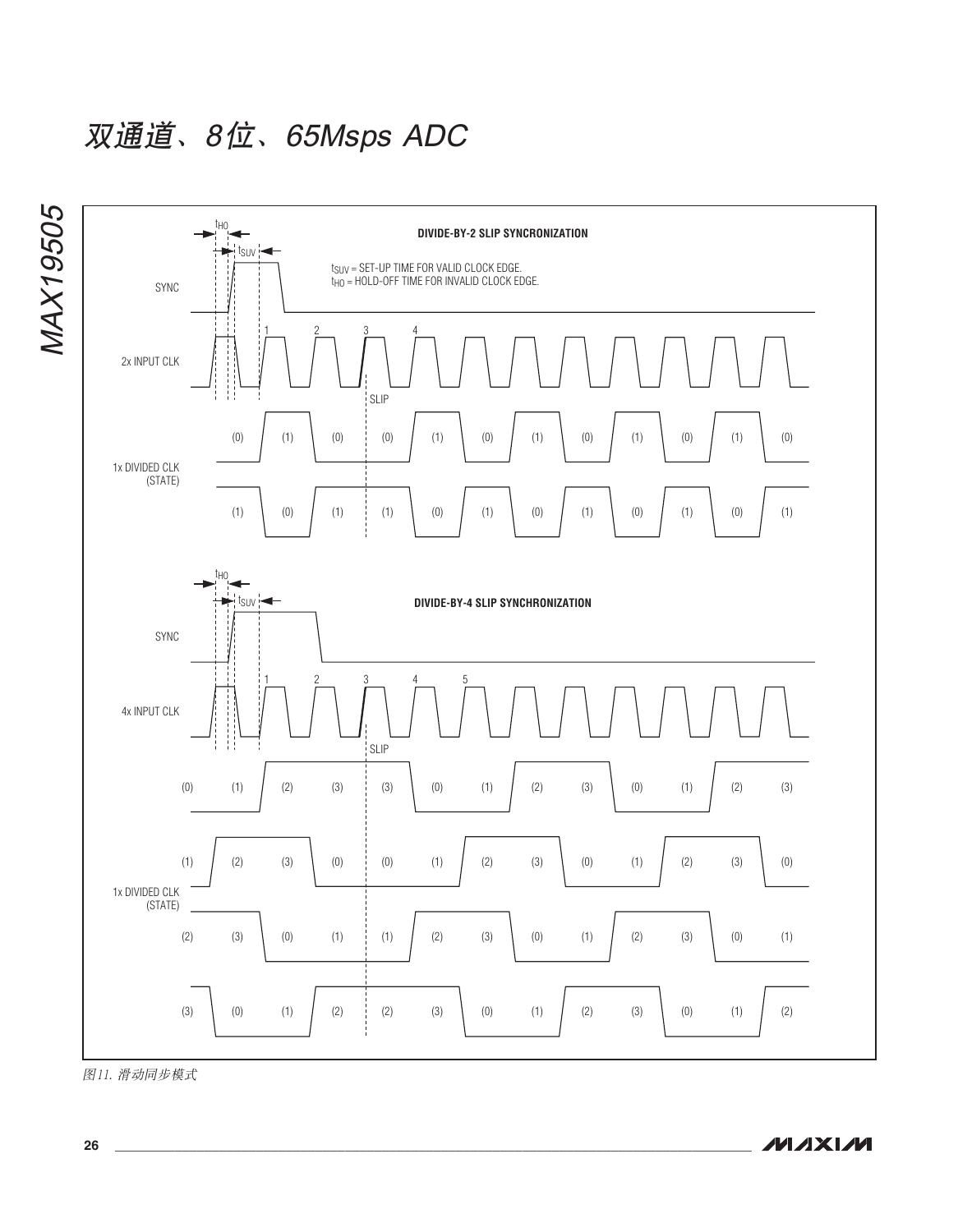

图11. 滑动同步模式

**MAXIM**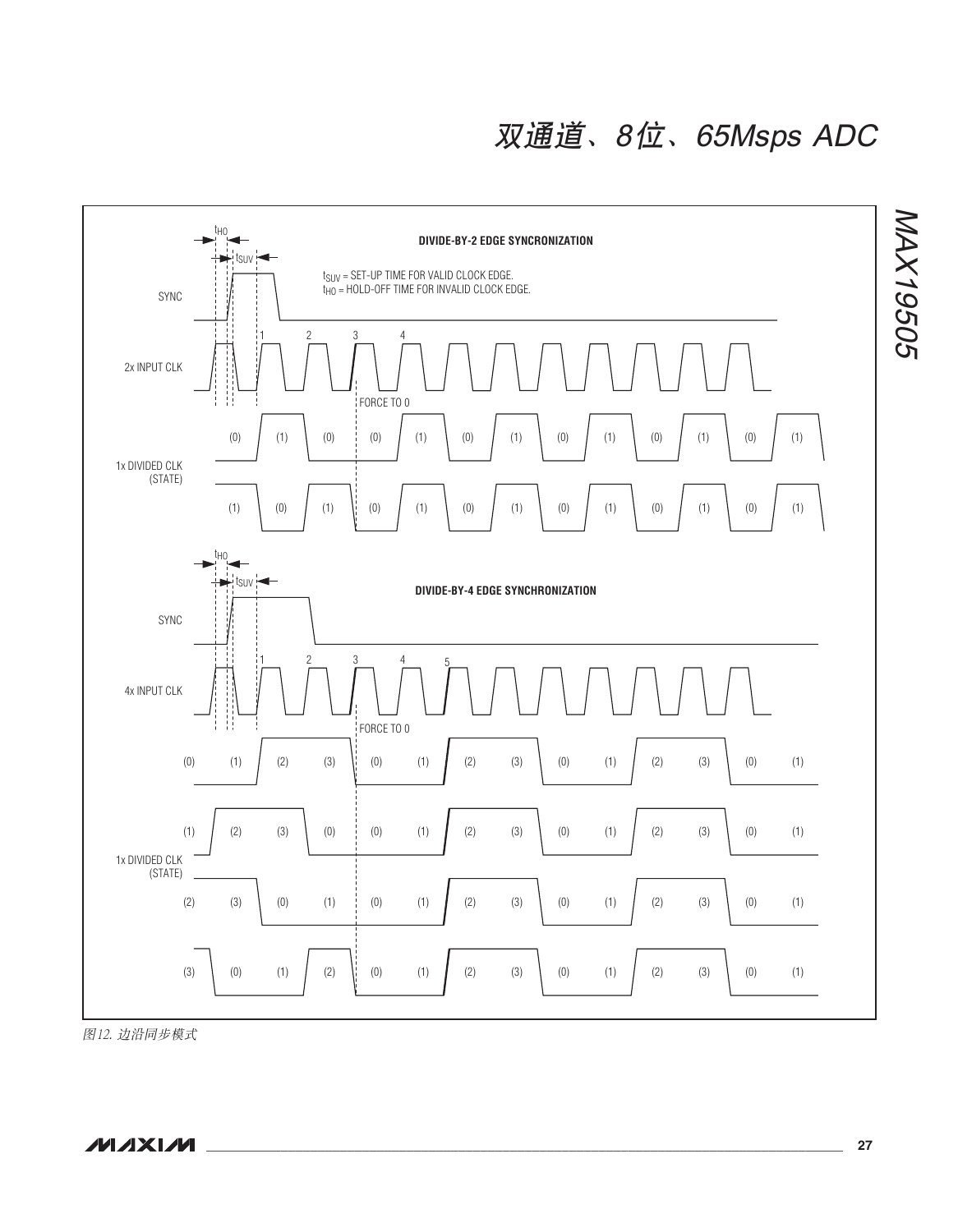

图12. 边沿同步模式

**\_\_\_\_\_\_\_\_\_\_\_\_\_\_\_\_\_\_\_\_\_\_\_\_\_\_\_\_\_\_\_\_\_\_\_\_\_\_\_\_\_\_\_\_\_\_\_\_\_\_\_\_\_\_\_\_\_\_\_\_\_\_\_\_\_\_\_\_\_\_\_\_\_\_\_\_\_\_\_\_\_\_\_\_\_\_ 27**

NAX19505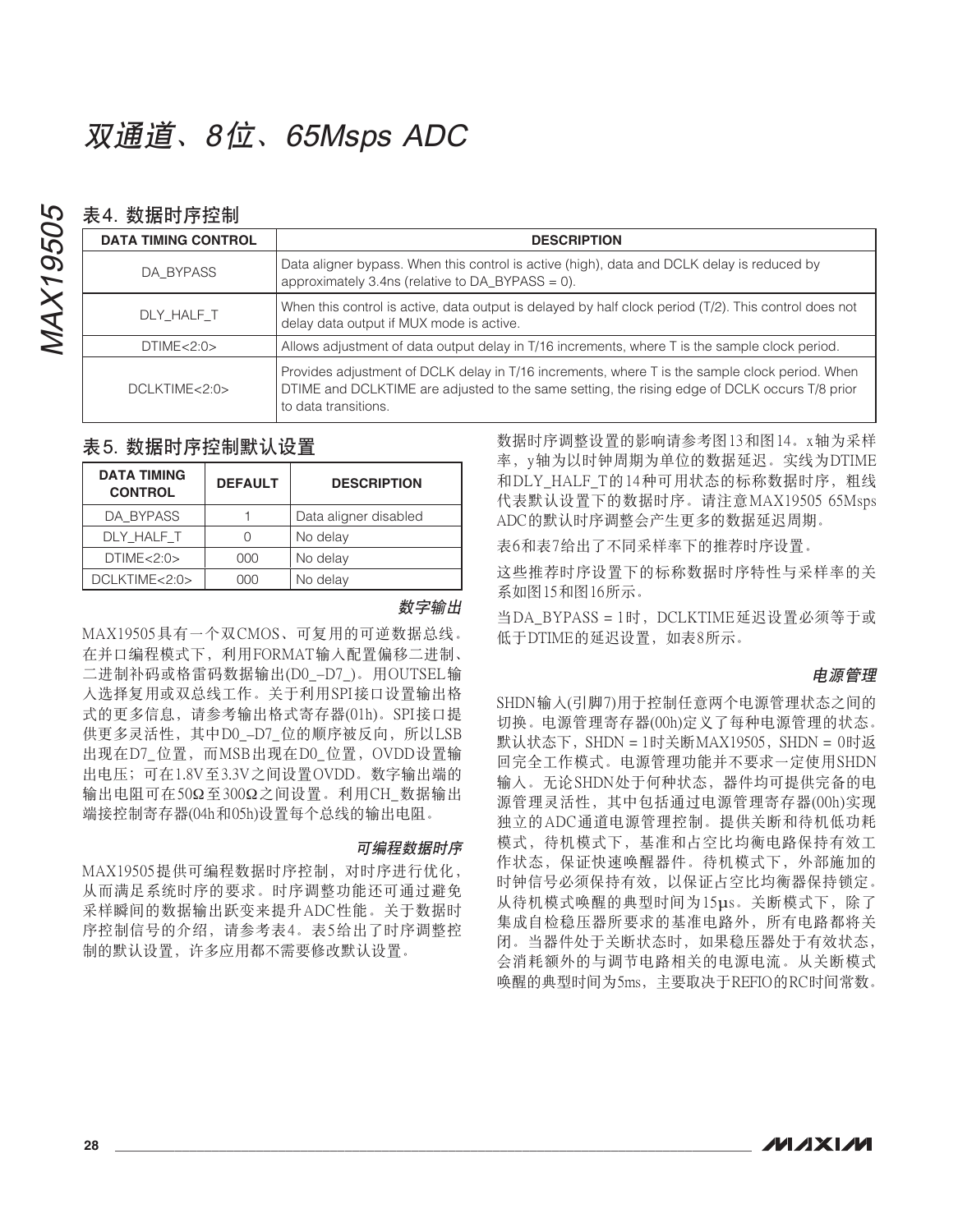### 表4 数据时序控制

MAX19505

**MAX19505** 

| <b>DATA TIMING CONTROL</b> | <b>DESCRIPTION</b>                                                                                                                                                                                                      |  |  |
|----------------------------|-------------------------------------------------------------------------------------------------------------------------------------------------------------------------------------------------------------------------|--|--|
| DA BYPASS                  | Data aligner bypass. When this control is active (high), data and DCLK delay is reduced by<br>approximately 3.4ns (relative to $DA_BYPASS = 0$ ).                                                                       |  |  |
| DLY HALF T                 | When this control is active, data output is delayed by half clock period (T/2). This control does not<br>delay data output if MUX mode is active.                                                                       |  |  |
| DTIME < 2:0>               | Allows adjustment of data output delay in T/16 increments, where T is the sample clock period.                                                                                                                          |  |  |
| DCLKTIME < 2:0>            | Provides adjustment of DCLK delay in T/16 increments, where T is the sample clock period. When<br>DTIME and DCLKTIME are adjusted to the same setting, the rising edge of DCLK occurs T/8 prior<br>to data transitions. |  |  |

### 表 5. 数据时序控制默认设置

| <b>DATA TIMING</b><br><b>CONTROL</b> | <b>DEFAULT</b> | <b>DESCRIPTION</b>    |
|--------------------------------------|----------------|-----------------------|
| DA BYPASS                            |                | Data aligner disabled |
| DLY HALF T                           |                | No delay              |
| DTIME < 2:0>                         | 000            | No delay              |
| DCLKTIME<2:0>                        | າດດ            | No delay              |

#### 数字输出

MAX19505具有一个双CMOS、可复用的可逆数据总线。 在并口编程模式下, 利用FORMAT输入配置偏移二进制、 二进制补码或格雷码数据输出(D0-D7)。用OUTSEL输 入洗择复用或双总线工作。关于利用SPI接口设置输出格 式的更多信息,请参考输出格式寄存器(01h)。SPI接口提 供更多灵活性, 其中D0-D7 位的顺序被反向, 所以LSB 出现在D7\_位置, 而MSB出现在D0\_位置, OVDD设置输 出电压;可在1.8V至3.3V之间设置OVDD。数字输出端的 输出电阻可在50Ω至300Ω之间设置。利用CH 数据输出 端接控制寄存器(04h和05h)设置每个总线的输出电阻。

#### 可编程数据时序

MAX19505提供可编程数据时序控制, 对时序讲行优化, 从而满足系统时序的要求。时序调整功能还可通过避免 采样瞬间的数据输出跃变来提升ADC性能。关于数据时 序控制信号的介绍, 请参考表4。表5给出了时序调整控 制的默认设置, 许多应用都不需要修改默认设置。

数据时序调整设置的影响请参考图13和图14。x轴为采样 率, y轴为以时钟周期为单位的数据延迟。实线为DTIME 和DLY HALF T的14种可用状态的标称数据时序, 粗线 代表默认设置下的数据时序。请注意MAX19505 65Msps ADC的默认时序调整会产生更多的数据延迟周期。

表6和表7给出了不同采样率下的推荐时序设置。

这些推荐时序设置下的标称数据时序特性与采样率的关 系如图15和图16所示。

当DA BYPASS = 1时, DCLKTIME延迟设置必须等于或 低于DTIME的延迟设置, 如表8所示。

#### **由源管理**

SHDN输入(引脚7)用于控制任意两个电源管理状态之间的 切换。电源管理寄存器(00h)定义了每种电源管理的状态。 默认状态下, SHDN = 1时关断MAX19505, SHDN = 0时返 回完全工作模式。电源管理功能并不要求一定使用SHDN 输入。无论SHDN处于何种状态,器件均可提供完备的电 源管理灵活性, 其中包括通过电源管理寄存器(00h)实现 独立的ADC通道电源管理控制。提供关断和待机低功耗 模式、待机模式下, 基准和占空比均衡电路保持有效工 作状态, 保证快速唤醒器件。待机模式下, 外部施加的 时钟信号必须保持有效,以保证占空比均衡器保持锁定。 从待机模式唤醒的典型时间为15µs。关断模式下,除了 集成自检稳压器所要求的基准电路外,所有电路都将关 闭。当器件处于关断状态时, 如果稳压器处于有效状态, 会消耗额外的与调节电路相关的电源电流。从关断模式 唤醒的典型时间为5ms, 主要取决于REFIO的RC时间常数。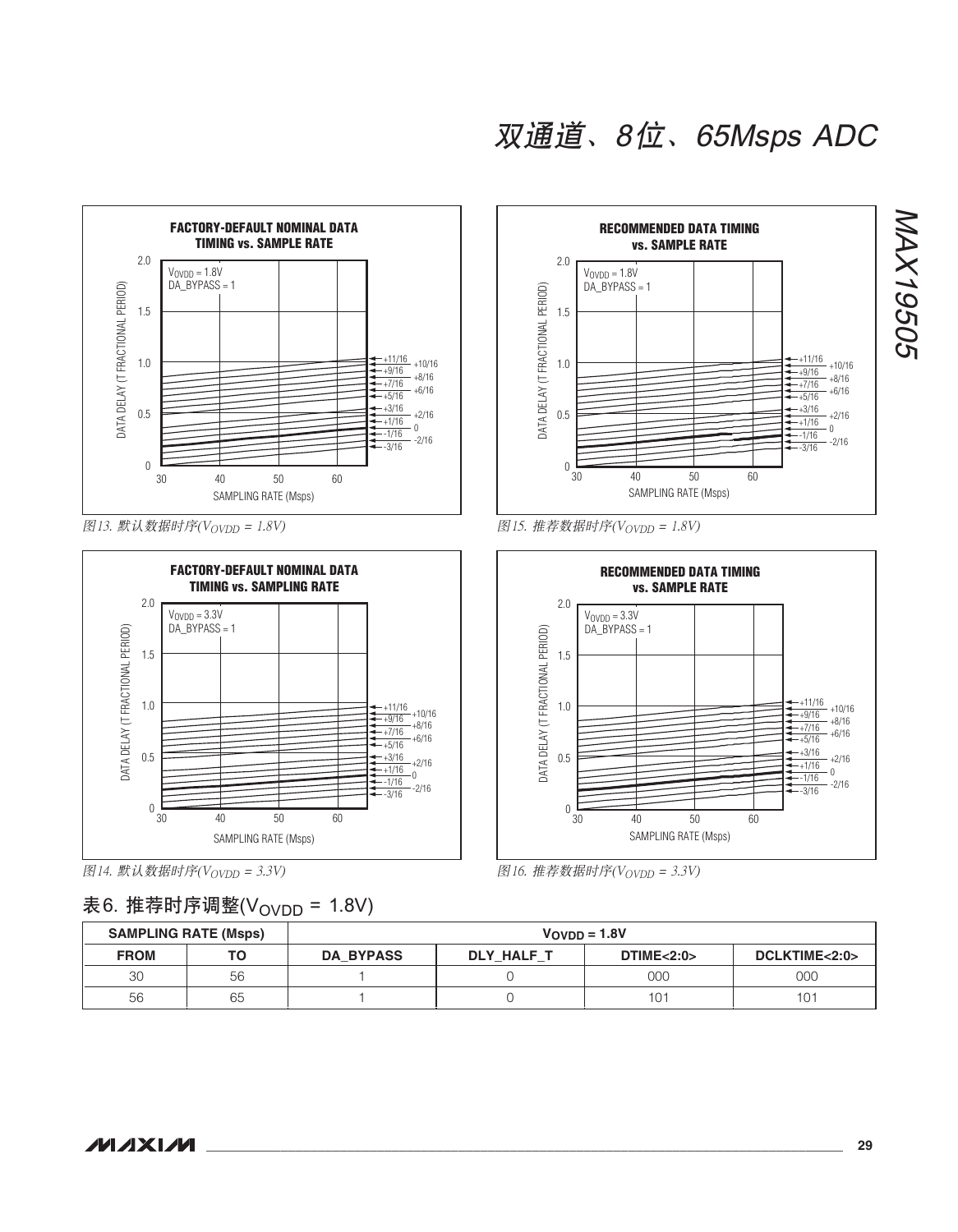

图13. 默认数据时序 $(V_{\text{OVDD}} = 1.8V)$ 



图14. 默认数据时序 $(V_{\text{OVDD}} = 3.3V)$ 

### 表6. 推荐时序调整(V<sub>OVDD</sub> = 1.8V)



图15. 推荐数据时序 $(V_{\text{OVDD}} = 1.8V)$ 



图16. 推荐数据时序 $(V_{\text{OVDD}} = 3.3V)$ 

| <b>SAMPLING RATE (Msps)</b> |    | $VOVDD = 1.8V$   |            |                         |               |
|-----------------------------|----|------------------|------------|-------------------------|---------------|
| <b>FROM</b>                 | т٥ | <b>DA BYPASS</b> | DLY HALF T | <b>DTIME&lt;2:0&gt;</b> | DCLKTIME<2:0> |
| 30                          | 56 |                  |            | 00C                     | 000           |
| 56                          | 65 |                  |            | 10                      | 101           |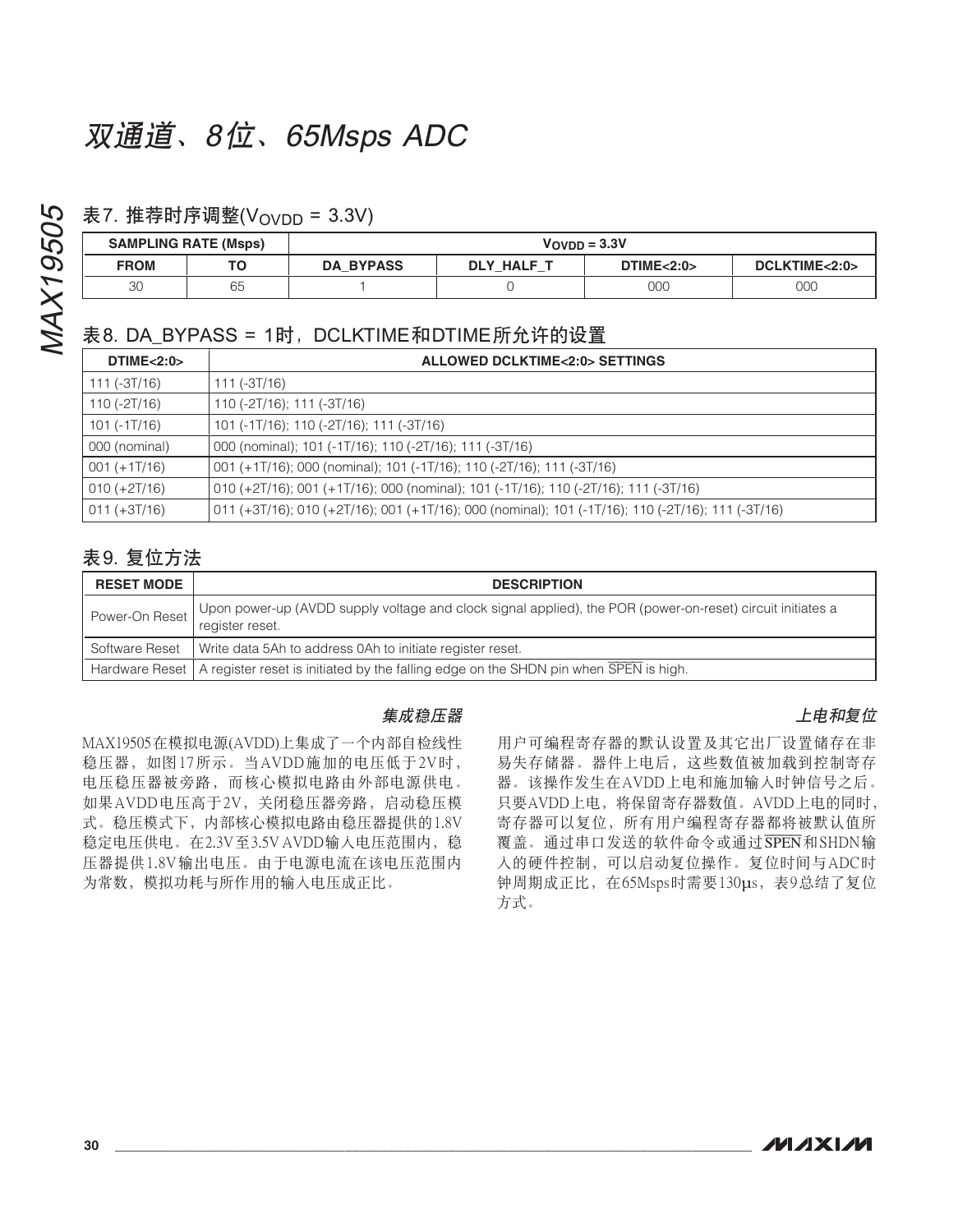### 表7. 推荐时序调整(Vovon = 3.3V)

| <b>SAMPLING RATE (Msps)</b> |    | $V$ OVDD = $3.3V$ |                   |                         |               |
|-----------------------------|----|-------------------|-------------------|-------------------------|---------------|
| <b>FROM</b>                 | тс | <b>DA BYPASS</b>  | <b>DLY HALF T</b> | <b>DTIME&lt;2:0&gt;</b> | DCLKTIME<2:0> |
| 30                          | 65 |                   |                   | 000                     | 000           |

### 表8. DA BYPASS = 1时, DCLKTIME和DTIME所允许的设置

| DTIME < 2:0>     | <b>ALLOWED DCLKTIME&lt;2:0&gt; SETTINGS</b>                                                       |
|------------------|---------------------------------------------------------------------------------------------------|
| 111 (-3T/16)     | $111 (-3T/16)$                                                                                    |
| 110 (-2T/16)     | 110 (-2T/16); 111 (-3T/16)                                                                        |
| 101 (-1T/16)     | 101 (-1T/16); 110 (-2T/16); 111 (-3T/16)                                                          |
| 000 (nominal)    | 000 (nominal); 101 (-1T/16); 110 (-2T/16); 111 (-3T/16)                                           |
| $001 (+1T/16)$   | 001 (+1T/16); 000 (nominal); 101 (-1T/16); 110 (-2T/16); 111 (-3T/16)                             |
| $010 (+2T/16)$   | 010 (+2T/16); 001 (+1T/16); 000 (nominal); 101 (-1T/16); 110 (-2T/16); 111 (-3T/16)               |
| $ 011 (+3T/16) $ | 011 (+3T/16); 010 (+2T/16); 001 (+1T/16); 000 (nominal); 101 (-1T/16); 110 (-2T/16); 111 (-3T/16) |

### 表 9. 复位方法

| <b>RESET MODE</b> | <b>DESCRIPTION</b>                                                                                                            |  |  |
|-------------------|-------------------------------------------------------------------------------------------------------------------------------|--|--|
| Power-On Reset    | Upon power-up (AVDD supply voltage and clock signal applied), the POR (power-on-reset) circuit initiates a<br>register reset. |  |  |
|                   | Software Reset   Write data 5Ah to address 0Ah to initiate register reset.                                                    |  |  |
|                   | Hardware Reset   A register reset is initiated by the falling edge on the SHDN pin when SPEN is high.                         |  |  |

#### 集成稳压器

MAX19505在模拟电源(AVDD)上集成了一个内部自检线性 稳压器, 如图17所示。当AVDD施加的电压低于2V时, 电压稳压器被旁路,而核心模拟电路由外部电源供电。 如果AVDD电压高于2V, 关闭稳压器旁路, 启动稳压模 式。稳压模式下, 内部核心模拟电路由稳压器提供的1.8V 稳定电压供电。在2.3V至3.5V AVDD输入电压范围内, 稳 压器提供1.8V输出电压。由于电源电流在该电压范围内 为常数, 模拟功耗与所作用的输入电压成正比。

### 用户可编程寄存器的默认设置及其它出厂设置储存在非 易失存储器。器件上电后,这些数值被加载到控制寄存 器。该操作发生在AVDD上电和施加输入时钟信号之后。 只要AVDD上电,将保留寄存器数值。AVDD上电的同时, 寄存器可以复位, 所有用户编程寄存器都将被默认值所 覆盖。通过串口发送的软件命令或通过SPEN和SHDN输 入的硬件控制,可以启动复位操作。复位时间与ADC时 钟周期成正比, 在65Msps时需要130µs, 表9总结了复位 方式。

上电和复位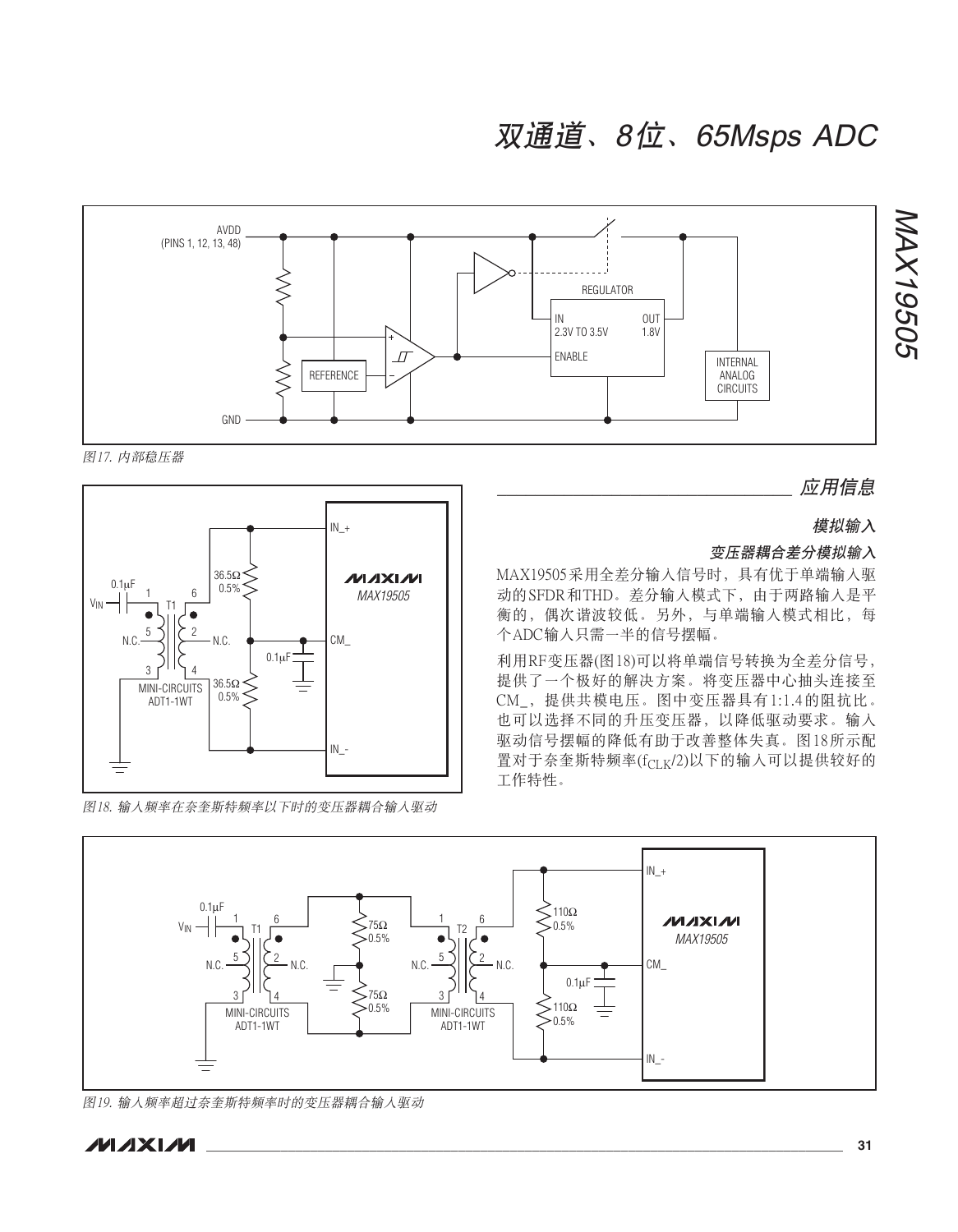

图17. 内部稳压器



图18. 输入频率在奈奎斯特频率以下时的变压器耦合输入驱动

应用信息

模拟输入

#### 变压器耦合差分模拟输入

MAX19505采用全差分输入信号时, 具有优于单端输入驱 动的SFDR和THD。差分输入模式下, 由于两路输入是平 衡的, 偶次谐波较低。另外, 与单端输入模式相比, 每 个ADC输入只需一半的信号摆幅。

利用RF变压器(图18)可以将单端信号转换为全差分信号, 提供了一个极好的解决方案。将变压器中心抽头连接至 CM\_, 提供共模电压。图中变压器具有1:1.4的阻抗比。 也可以选择不同的升压变压器,以降低驱动要求。输入 驱动信号摆幅的降低有助于改善整体失真。图18所示配 置对于奈奎斯特频率(fcLK/2)以下的输入可以提供较好的 工作特性。



图19. 输入频率超过奈奎斯特频率时的变压器耦合输入驱动

**MAXM** 

**\_\_\_\_\_\_\_\_\_\_\_\_\_\_\_\_\_\_\_\_\_\_\_\_\_\_\_\_\_\_\_\_\_\_\_\_\_\_\_\_\_\_\_\_\_\_\_\_\_\_\_\_\_\_\_\_\_\_\_\_\_\_\_\_\_\_\_\_\_\_\_\_\_\_\_\_\_\_\_\_\_\_\_\_\_\_ 31**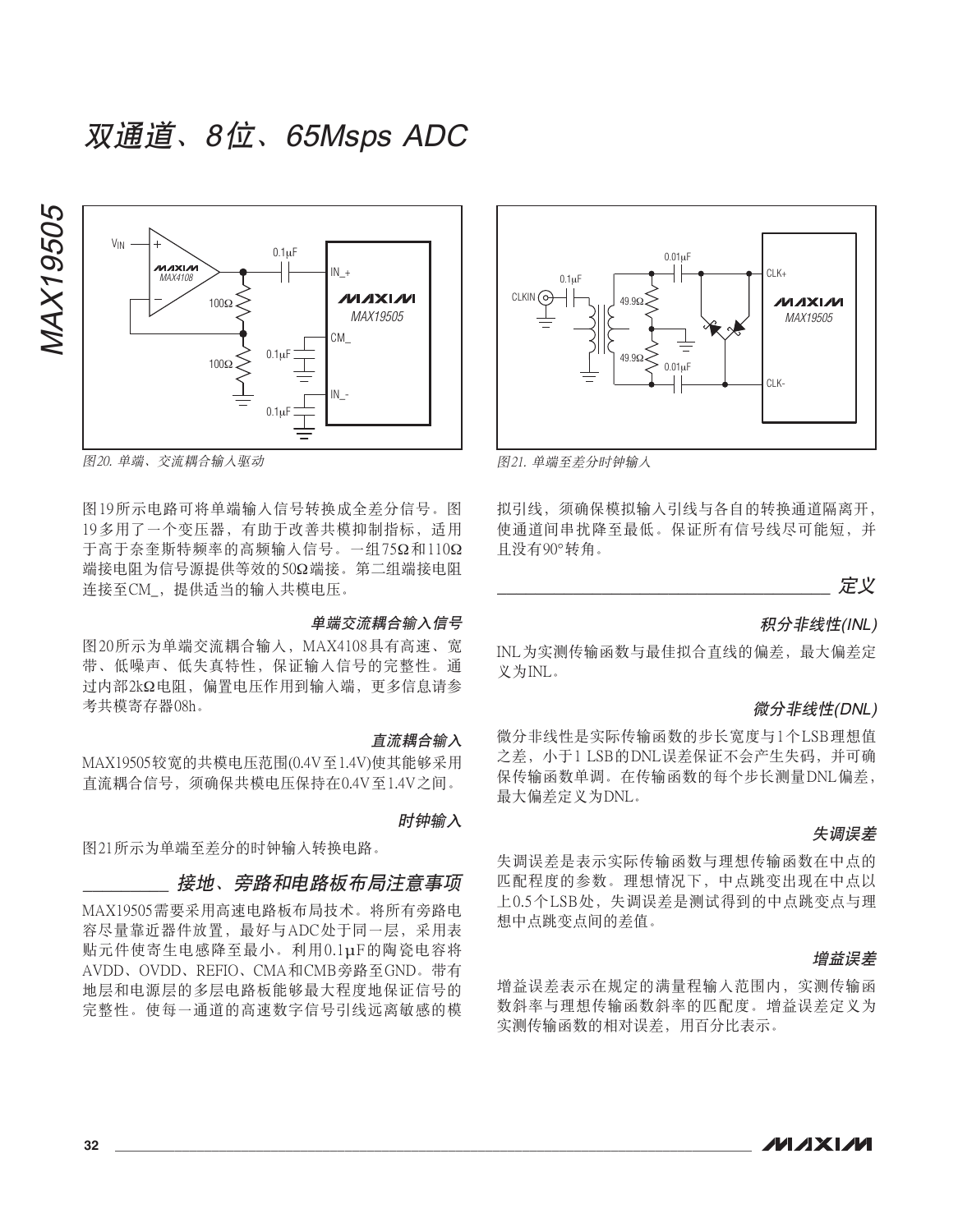

图20. 单端、交流耦合输入驱动

图19所示电路可将单端输入信号转换成全差分信号。图 19多用了一个变压器, 有助于改善共模抑制指标, 适用 于高于奈奎斯特频率的高频输入信号。一组75Ω和110Ω 端接电阻为信号源提供等效的50Ω端接。第二组端接电阻 连接至CM, 提供适当的输入共模电压。

#### 单端交流耦合输入信号

图20所示为单端交流耦合输入, MAX4108具有高速、宽 带、低噪声、低失真特性、保证输入信号的完整性。通 过内部2kΩ电阳, 偏置电压作用到输入端, 更多信息请参 考共模寄存器08h。

#### 百流耦合输入

MAX19505较宽的共模电压范围(0.4V至1.4V)使其能够采用 直流耦合信号, 须确保共模电压保持在0.4V至1.4V之间。

时钟输入

图21所示为单端至差分的时钟输入转换电路。

#### \_*接地、旁路和电路板布局注意事项*

MAX19505需要采用高速电路板布局技术。将所有旁路电 容尽量靠近器件放置, 最好与ADC处于同一层, 采用表 贴元件使寄生电感降至最小。利用0.1μF的陶瓷电容将 AVDD、OVDD、REFIO、CMA和CMB旁路至GND。带有 地层和电源层的多层电路板能够最大程度地保证信号的 完整性。使每一通道的高速数字信号引线远离敏感的模



图21. 单端至差分时钟输入

拟引线, 须确保模拟输入引线与各自的转换通道隔离开, 使通道间串扰降至最低。保证所有信号线尽可能短,并 目没有90°转角。



#### 积分非线性(INL)

INL为实测传输函数与最佳拟合直线的偏差, 最大偏差定 义为INL。

#### 微分非线性(DNL)

微分非线性是实际传输函数的步长宽度与1个LSB理想值 之差, 小于1 LSB的DNL误差保证不会产生失码, 并可确 保传输函数单调。在传输函数的每个步长测量DNL偏差, 最大偏差定义为DNL。

#### 失调误差

失调误差是表示实际传输函数与理想传输函数在中点的 匹配程度的参数。理想情况下,中点跳变出现在中点以 上0.5个LSB处, 失调误差是测试得到的中点跳变点与理 想中点跳变点间的差值。

#### 增益误差

增益误差表示在规定的满量程输入范围内、实测传输函 数斜率与理想传输函数斜率的匹配度。增益误差定义为 实测传输函数的相对误差, 用百分比表示。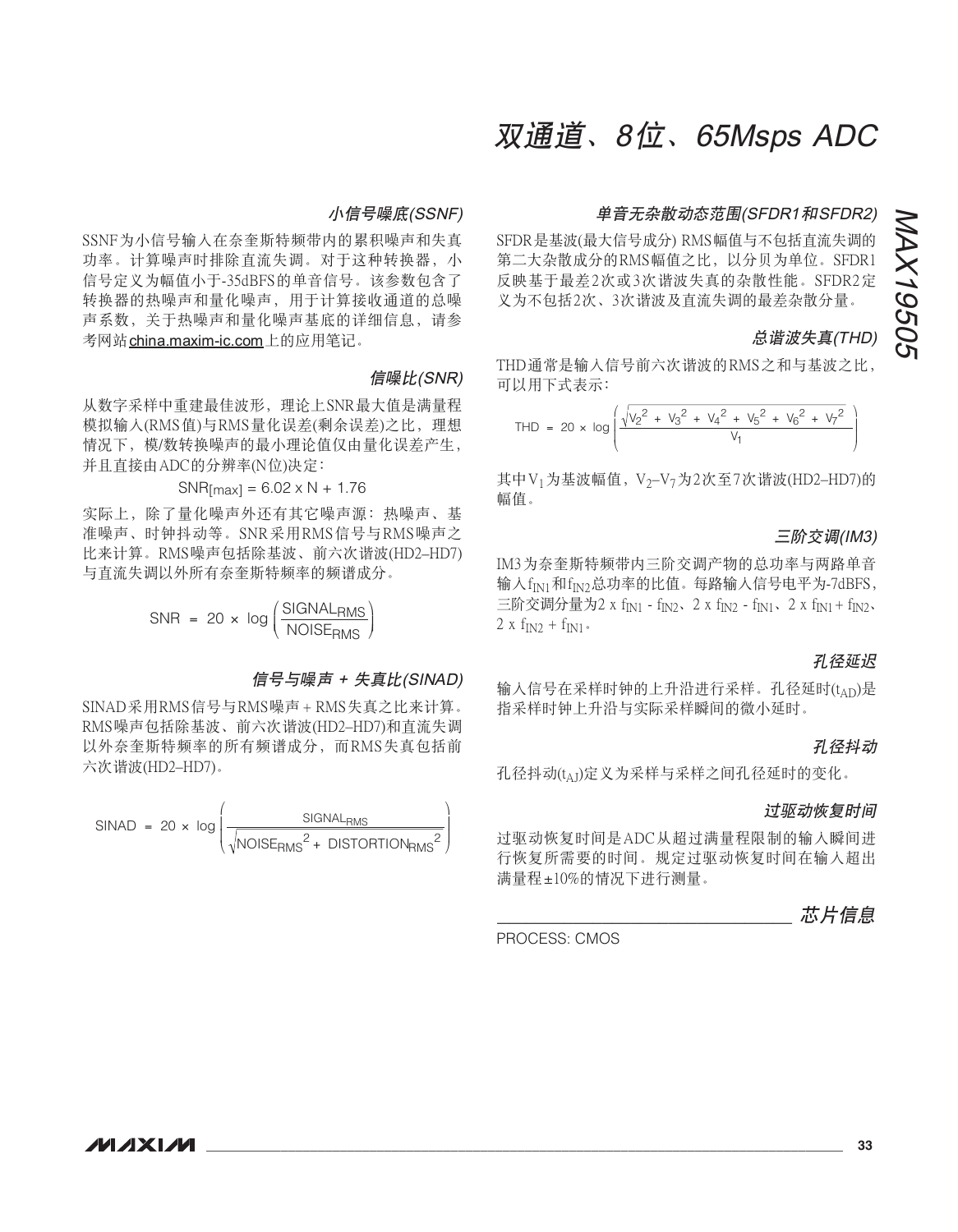#### 小信号噪底(SSNF)

SSNF为小信号输入在奈奎斯特频带内的累积噪声和失真 功率。计算噪声时排除直流失调。对于这种转换器, 小 信号定义为幅值小于-35dBFS的单音信号。该参数句含了 转换器的热噪声和量化噪声, 用于计算接收通道的总噪 声系数, 关于热噪声和量化噪声基底的详细信息, 请参 考网站china.maxim-ic.com上的应用笔记。

#### 信噪比(SNR)

从数字采样中重建最佳波形, 理论上SNR最大值是满量程 模拟输入(RMS值)与RMS量化误差(剩余误差)之比, 理想 情况下, 模/数转换噪声的最小理论值仅由量化误差产生, 并且直接由ADC的分辨率(N位)决定:

 $SNR$ [max] = 6.02 x N + 1.76

实际上, 除了量化噪声外还有其它噪声源: 热噪声、基 准噪声、时钟抖动等。SNR采用RMS信号与RMS噪声之 比来计算。RMS噪声包括除基波、前六次谐波(HD2-HD7) 与直流失调以外所有奈奎斯特频率的频谱成分。

 $SNR = 20 \times log \left( \frac{SIGNAL_{RMS}}{NOISE_{RMS}} \right)$ 

#### 信号与噪声 + 失真比(SINAD)

SINAD采用RMS信号与RMS噪声+RMS失真之比来计算。 RMS噪声包括除基波、前六次谐波(HD2-HD7)和直流失调 以外奈奎斯特频率的所有频谱成分,而RMS失真包括前 六次谐波(HD2-HD7)。

$$
SINAD = 20 \times \log \left( \frac{SIGNAL_{RMS}}{\sqrt{NOISE_{RMS}^{2} + DISTORTION_{RMS}^{2}}} \right)
$$

### 双通道、8位、65Msps ADC

#### 单音无杂散动态范围(SFDR1和SFDR2)

SFDR是基波(最大信号成分) RMS幅值与不包括直流失调的 第二大杂散成分的RMS幅值之比,以分贝为单位。SFDR1 反映基于最差2次或3次谐波失真的杂散性能。SFDR2定 义为不包括2次、3次谐波及直流失调的最差杂散分量。

### 总谐波失真(THD)

THD通常是输入信号前六次谐波的RMS之和与基波之比, 可以用下式表示:

$$
\text{THD} = 20 \times \log \left( \frac{\sqrt{v_2^2 + v_3^2 + v_4^2 + v_5^2 + v_6^2 + v_7^2}}{v_1} \right)
$$

其中V<sub>1</sub>为基波幅值, V<sub>2</sub>-V<sub>7</sub>为2次至7次谐波(HD2-HD7)的 幅值。

#### 三阶交调(IM3)

IM3为奈奎斯特频带内三阶交调产物的总功率与两路单音 输入f<sub>IN1</sub>和f<sub>IN2</sub>总功率的比值。每路输入信号电平为-7dBFS, 三阶交调分量为2 x f<sub>IN1</sub> - f<sub>IN2</sub>、2 x f<sub>IN2</sub> - f<sub>IN1</sub>、2 x f<sub>IN1</sub> + f<sub>IN2</sub>、  $2 x f_{IN2} + f_{IN1}$ .

### 孔径延识

输入信号在采样时钟的上升沿进行采样。孔径延时(tAD)是 指采样时钟上升沿与实际采样瞬间的微小延时。

#### 孔径抖动

孔径抖动(tAT)定义为采样与采样之间孔径延时的变化。

#### 过驱动恢复时间

过驱动恢复时间是ADC从超过满量程限制的输入瞬间进 行恢复所需要的时间。规定过驱动恢复时间在输入超出 满量程±10%的情况下进行测量。

#### 芯片信息

PROCESS: CMOS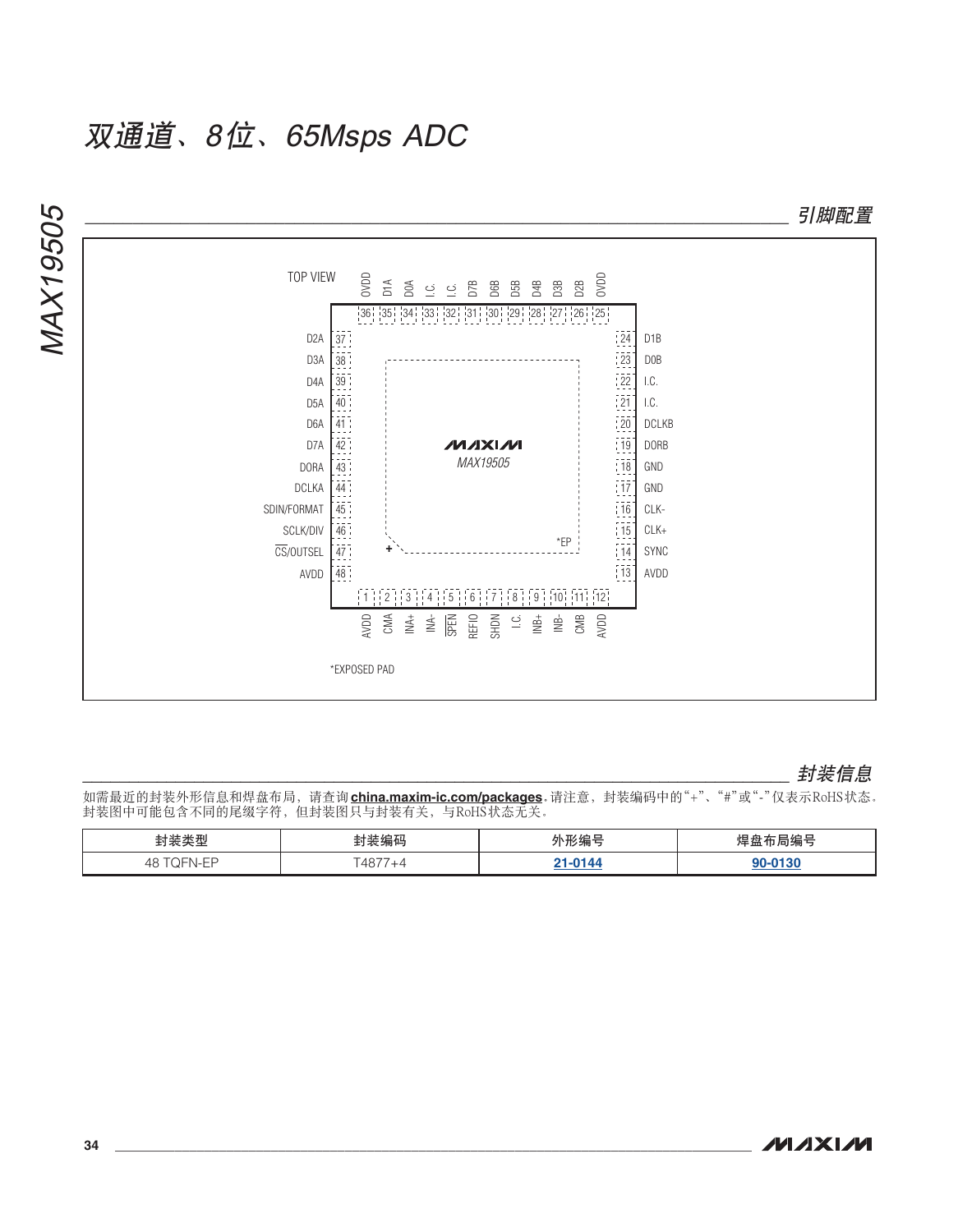

### ```````````````````````````````````````````````````````````````````````````` ॖᓤቧᇦ

如需最近的封装外形信息和焊盘布局,请查询**china.maxim-ic.com/packages**,请注意,封装编码中的"+"、"#"或"-"仅表示RoHS状态。 **入秋的中的行行的有效。**<br>封装图中可能包含不同的尾缀字符,但封装图只与封装有关,与RoHS状态无关。

| $-14.70$<br>— ÷a<br><b>TTI</b>          | .               | $\sim$ $-$ |
|-----------------------------------------|-----------------|------------|
| $ -$<br>48<br>$\sim$ $\sim$<br><u>—</u> | $-1077$<br>'40. | ---        |